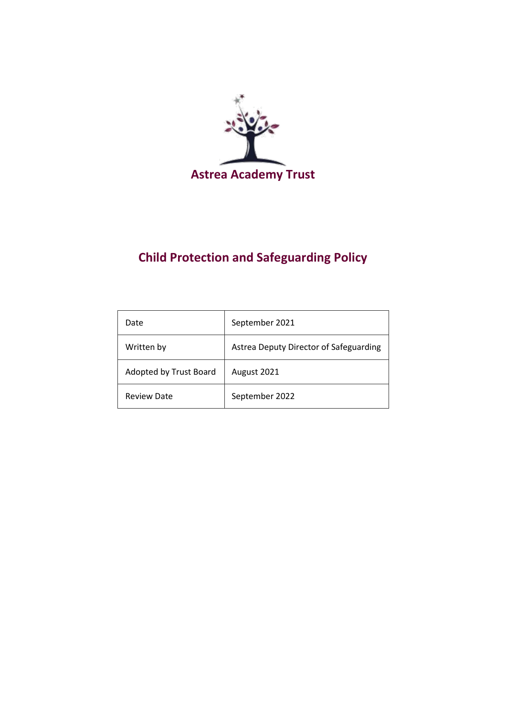

# **Child Protection and Safeguarding Policy**

| Date                   | September 2021                         |
|------------------------|----------------------------------------|
| Written by             | Astrea Deputy Director of Safeguarding |
| Adopted by Trust Board | August 2021                            |
| <b>Review Date</b>     | September 2022                         |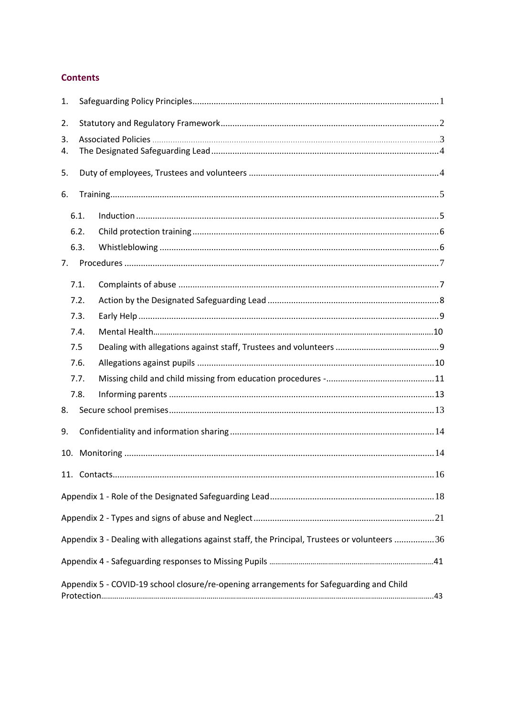# **Contents**

| 1.          |      |                                                                                               |  |  |
|-------------|------|-----------------------------------------------------------------------------------------------|--|--|
| 2.          |      |                                                                                               |  |  |
| 3.          |      |                                                                                               |  |  |
| 4.          |      |                                                                                               |  |  |
| 5.          |      |                                                                                               |  |  |
| 6.          |      |                                                                                               |  |  |
|             | 6.1. |                                                                                               |  |  |
|             | 6.2. |                                                                                               |  |  |
|             | 6.3. |                                                                                               |  |  |
| 7.          |      |                                                                                               |  |  |
|             | 7.1. |                                                                                               |  |  |
|             | 7.2. |                                                                                               |  |  |
|             | 7.3. |                                                                                               |  |  |
|             | 7.4. |                                                                                               |  |  |
|             | 7.5  |                                                                                               |  |  |
|             | 7.6. |                                                                                               |  |  |
|             | 7.7. |                                                                                               |  |  |
|             | 7.8. |                                                                                               |  |  |
| 8.          |      |                                                                                               |  |  |
| 9.          |      |                                                                                               |  |  |
|             |      |                                                                                               |  |  |
| $\ldots$ 16 |      |                                                                                               |  |  |
|             |      |                                                                                               |  |  |
|             |      |                                                                                               |  |  |
|             |      | Appendix 3 - Dealing with allegations against staff, the Principal, Trustees or volunteers 36 |  |  |
|             |      |                                                                                               |  |  |
|             |      | Appendix 5 - COVID-19 school closure/re-opening arrangements for Safeguarding and Child       |  |  |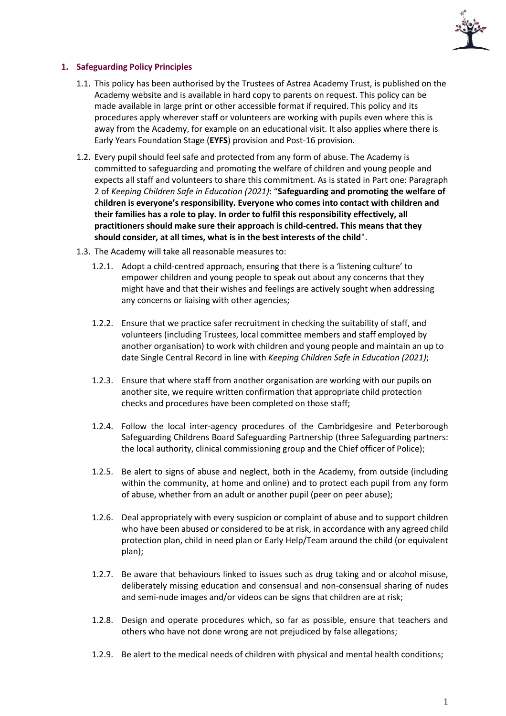

# <span id="page-2-0"></span>**1. Safeguarding Policy Principles**

- 1.1. This policy has been authorised by the Trustees of Astrea Academy Trust, is published on the Academy website and is available in hard copy to parents on request. This policy can be made available in large print or other accessible format if required. This policy and its procedures apply wherever staff or volunteers are working with pupils even where this is away from the Academy, for example on an educational visit. It also applies where there is Early Years Foundation Stage (**EYFS**) provision and Post-16 provision.
- 1.2. Every pupil should feel safe and protected from any form of abuse. The Academy is committed to safeguarding and promoting the welfare of children and young people and expects all staff and volunteers to share this commitment. As is stated in Part one: Paragraph 2 of *Keeping Children Safe in Education (2021)*: "**Safeguarding and promoting the welfare of children is everyone's responsibility. Everyone who comes into contact with children and their families has a role to play. In order to fulfil this responsibility effectively, all practitioners should make sure their approach is child-centred. This means that they should consider, at all times, what is in the best interests of the child**".
- 1.3. The Academy will take all reasonable measures to:
	- 1.2.1. Adopt a child-centred approach, ensuring that there is a 'listening culture' to empower children and young people to speak out about any concerns that they might have and that their wishes and feelings are actively sought when addressing any concerns or liaising with other agencies;
	- 1.2.2. Ensure that we practice safer recruitment in checking the suitability of staff, and volunteers (including Trustees, local committee members and staff employed by another organisation) to work with children and young people and maintain an up to date Single Central Record in line with *Keeping Children Safe in Education (2021)*;
	- 1.2.3. Ensure that where staff from another organisation are working with our pupils on another site, we require written confirmation that appropriate child protection checks and procedures have been completed on those staff;
	- 1.2.4. Follow the local inter-agency procedures of the Cambridgesire and Peterborough Safeguarding Childrens Board Safeguarding Partnership (three Safeguarding partners: the local authority, clinical commissioning group and the Chief officer of Police);
	- 1.2.5. Be alert to signs of abuse and neglect, both in the Academy, from outside (including within the community, at home and online) and to protect each pupil from any form of abuse, whether from an adult or another pupil (peer on peer abuse);
	- 1.2.6. Deal appropriately with every suspicion or complaint of abuse and to support children who have been abused or considered to be at risk, in accordance with any agreed child protection plan, child in need plan or Early Help/Team around the child (or equivalent plan);
	- 1.2.7. Be aware that behaviours linked to issues such as drug taking and or alcohol misuse, deliberately missing education and consensual and non-consensual sharing of nudes and semi-nude images and/or videos can be signs that children are at risk;
	- 1.2.8. Design and operate procedures which, so far as possible, ensure that teachers and others who have not done wrong are not prejudiced by false allegations;
	- 1.2.9. Be alert to the medical needs of children with physical and mental health conditions;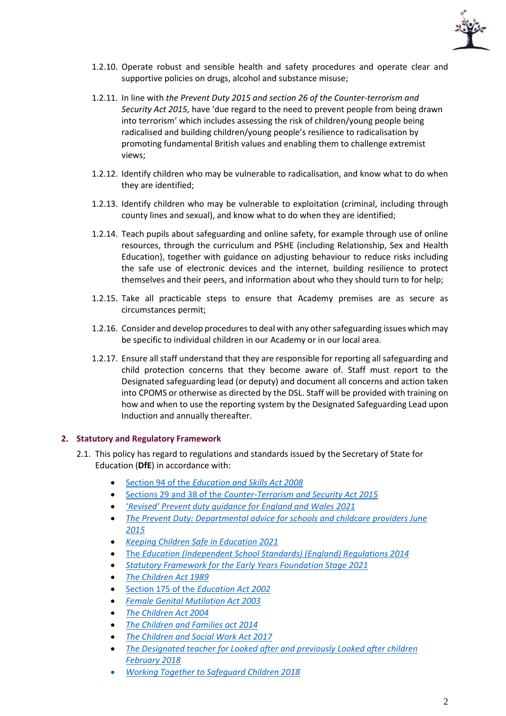

- 1.2.10. Operate robust and sensible health and safety procedures and operate clear and supportive policies on drugs, alcohol and substance misuse;
- 1.2.11. In line with *the Prevent Duty 2015 and section 26 of the Counter-terrorism and Security Act 2015,* have 'due regard to the need to prevent people from being drawn into terrorism' which includes assessing the risk of children/young people being radicalised and building children/young people's resilience to radicalisation by promoting fundamental British values and enabling them to challenge extremist views;
- 1.2.12. Identify children who may be vulnerable to radicalisation, and know what to do when they are identified;
- 1.2.13. Identify children who may be vulnerable to exploitation (criminal, including through county lines and sexual), and know what to do when they are identified;
- 1.2.14. Teach pupils about safeguarding and online safety, for example through use of online resources, through the curriculum and PSHE (including Relationship, Sex and Health Education), together with guidance on adjusting behaviour to reduce risks including the safe use of electronic devices and the internet, building resilience to protect themselves and their peers, and information about who they should turn to for help;
- 1.2.15. Take all practicable steps to ensure that Academy premises are as secure as circumstances permit;
- 1.2.16. Consider and develop procedures to deal with any other safeguarding issues which may be specific to individual children in our Academy or in our local area.
- 1.2.17. Ensure all staff understand that they are responsible for reporting all safeguarding and child protection concerns that they become aware of. Staff must report to the Designated safeguarding lead (or deputy) and document all concerns and action taken into CPOMS or otherwise as directed by the DSL. Staff will be provided with training on how and when to use the reporting system by the Designated Safeguarding Lead upon Induction and annually thereafter.

# <span id="page-3-0"></span>**2. Statutory and Regulatory Framework**

- 2.1. This policy has regard to regulations and standards issued by the Secretary of State for Education (**DfE**) in accordance with:
	- Section 94 of the *[Education and Skills Act 2008](https://www.legislation.gov.uk/ukpga/2008/25/contents)*
	- Sections 29 and 38 of the *[Counter-Terrorism and Security Act 2015](http://www.legislation.gov.uk/ukpga/2015/6/pdfs/ukpga_20150006_en.pdf)*
	- '*[Revised' Prevent duty guidance](https://www.gov.uk/government/publications/prevent-duty-guidance/revised-prevent-duty-guidance-for-england-and-wales) for England and Wales 2021*
	- *[The Prevent Duty: Departmental advice for schools and childcare providers June](https://assets.publishing.service.gov.uk/government/uploads/system/uploads/attachment_data/file/439598/prevent-duty-departmental-advice-v6.pdf)  [2015](https://assets.publishing.service.gov.uk/government/uploads/system/uploads/attachment_data/file/439598/prevent-duty-departmental-advice-v6.pdf)*
	- *Keeping [Children Safe in Education 2021](https://assets.publishing.service.gov.uk/government/uploads/system/uploads/attachment_data/file/999348/Keeping_children_safe_in_education_2021.pdf)*
	- The *[Education \(Independent School Standards\) \(England\) Regulations 2014](http://www.legislation.gov.uk/uksi/2014/3283/pdfs/uksi_20143283_en.pdf)*
	- *[Statutory Framework for the Early Years Foundation Stage](https://assets.publishing.service.gov.uk/government/uploads/system/uploads/attachment_data/file/974907/EYFS_framework_-_March_2021.pdf) 2021*
	- *[The Children Act 1989](https://www.legislation.gov.uk/ukpga/1989/41/contents)*
	- Section 175 of the *[Education Act 2002](https://www.legislation.gov.uk/ukpga/2002/32/section/175)*
	- *[Female Genital Mutilation Act 2003](https://www.legislation.gov.uk/ukpga/2003/31/pdfs/ukpga_20030031_en.pdf)*
	- *[The Children Act 2004](https://www.legislation.gov.uk/ukpga/2004/31/pdfs/ukpga_20040031_en.pdf)*
	- *[The Children and Families act 2014](http://www.legislation.gov.uk/ukpga/2014/6/pdfs/ukpga_20140006_en.pdf)*
	- *[The Children and Social Work Act 2017](https://www.legislation.gov.uk/ukpga/2017/16/contents/enacted)*
	- *The Designated teacher [for Looked after and previously Looked after children](https://assets.publishing.service.gov.uk/government/uploads/system/uploads/attachment_data/file/683561/The_designated_teacher_for_looked-after_and_previously_looked-after_children.pdf)  [February 2018](https://assets.publishing.service.gov.uk/government/uploads/system/uploads/attachment_data/file/683561/The_designated_teacher_for_looked-after_and_previously_looked-after_children.pdf)*
	- *[Working Together to Safeguard Children 2018](https://assets.publishing.service.gov.uk/government/uploads/system/uploads/attachment_data/file/942454/Working_together_to_safeguard_children_inter_agency_guidance.pdf)*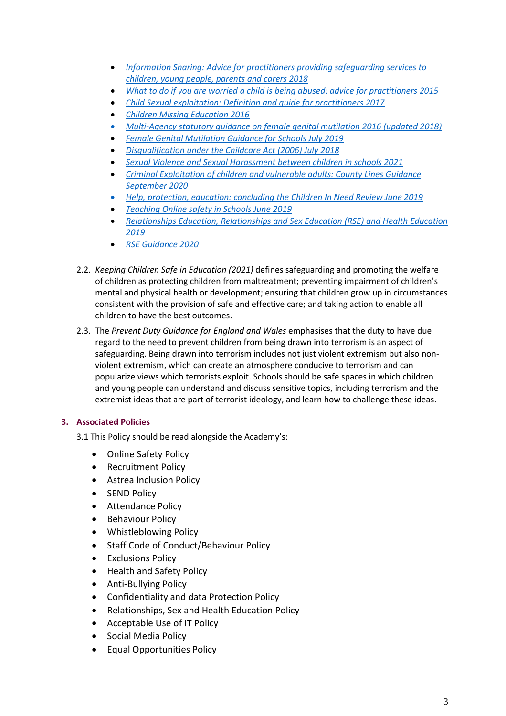- *[Information Sharing: Advice for practitioners providing safeguarding services to](https://assets.publishing.service.gov.uk/government/uploads/system/uploads/attachment_data/file/721581/Information_sharing_advice_practitioners_safeguarding_services.pdf)  [children, young people, parents and carers 2018](https://assets.publishing.service.gov.uk/government/uploads/system/uploads/attachment_data/file/721581/Information_sharing_advice_practitioners_safeguarding_services.pdf)*
- *[What to do if you are worried a child is being abused: advice for practitioners 2015](https://assets.publishing.service.gov.uk/government/uploads/system/uploads/attachment_data/file/419604/What_to_do_if_you_re_worried_a_child_is_being_abused.pdf)*
- *[Child Sexual exploitation: Definition and guide for practitioners 2017](https://assets.publishing.service.gov.uk/government/uploads/system/uploads/attachment_data/file/591903/CSE_Guidance_Core_Document_13.02.2017.pdf)*
- *[Children Missing Education 2016](https://assets.publishing.service.gov.uk/government/uploads/system/uploads/attachment_data/file/550416/Children_Missing_Education_-_statutory_guidance.pdf)*
- *[Multi-Agency statutory guidance on female genital mutilation 2016](https://assets.publishing.service.gov.uk/government/uploads/system/uploads/attachment_data/file/800306/6-1914-HO-Multi_Agency_Statutory_Guidance.pdf) (updated 2018)*
- *[Female Genital Mutilation Guidance for Schools July 2019](http://nationalfgmcentre.org.uk/wp-content/uploads/2019/06/FGM-Schools-Guidance-National-FGM-Centre.pdf)*
- *[Disqualification under the Childcare Act \(2006\) July 2018](https://assets.publishing.service.gov.uk/government/uploads/system/uploads/attachment_data/file/719794/Disqualification_under_the_childcare_act_July2018.pdf)*
- *[Sexual Violence and Sexual Harassment between children in schools 2021](https://assets.publishing.service.gov.uk/government/uploads/system/uploads/attachment_data/file/999239/SVSH_2021.pdf)*
- *[Criminal Exploitation of children and vulnerable adults: County Lines Guidance](https://www.gov.uk/government/publications/criminal-exploitation-of-children-and-vulnerable-adults-county-lines/criminal-exploitation-of-children-and-vulnerable-adults-county-lines)  [September 2020](https://www.gov.uk/government/publications/criminal-exploitation-of-children-and-vulnerable-adults-county-lines/criminal-exploitation-of-children-and-vulnerable-adults-county-lines)*
- *[Help, protection, education: concluding the Children In Need Review June 2019](https://assets.publishing.service.gov.uk/government/uploads/system/uploads/attachment_data/file/809236/190614_CHILDREN_IN_NEED_PUBLICATION_FINAL.pdf)*
- *[Teaching Online safety in Schools June 2019](https://assets.publishing.service.gov.uk/government/uploads/system/uploads/attachment_data/file/811796/Teaching_online_safety_in_school.pdf)*
- *[Relationships Education, Relationships and Sex Education](https://assets.publishing.service.gov.uk/government/uploads/system/uploads/attachment_data/file/908013/Relationships_Education__Relationships_and_Sex_Education__RSE__and_Health_Education.pdf) (RSE) and Health Education [2019](https://assets.publishing.service.gov.uk/government/uploads/system/uploads/attachment_data/file/908013/Relationships_Education__Relationships_and_Sex_Education__RSE__and_Health_Education.pdf)*
- *[RSE Guidance 2020](https://www.gov.uk/government/publications/relationships-education-relationships-and-sex-education-rse-and-health-education)*
- 2.2. *Keeping Children Safe in Education (2021)* defines safeguarding and promoting the welfare of children as protecting children from maltreatment; preventing impairment of children's mental and physical health or development; ensuring that children grow up in circumstances consistent with the provision of safe and effective care; and taking action to enable all children to have the best outcomes.
- 2.3. The *Prevent Duty Guidance for England and Wales* emphasises that the duty to have due regard to the need to prevent children from being drawn into terrorism is an aspect of safeguarding. Being drawn into terrorism includes not just violent extremism but also nonviolent extremism, which can create an atmosphere conducive to terrorism and can popularize views which terrorists exploit. Schools should be safe spaces in which children and young people can understand and discuss sensitive topics, including terrorism and the extremist ideas that are part of terrorist ideology, and learn how to challenge these ideas.

# <span id="page-4-0"></span>**3. Associated Policies**

3.1 This Policy should be read alongside the Academy's:

- Online Safety Policy
- Recruitment Policy
- Astrea Inclusion Policy
- SEND Policy
- Attendance Policy
- Behaviour Policy
- Whistleblowing Policy
- Staff Code of Conduct/Behaviour Policy
- Exclusions Policy
- Health and Safety Policy
- Anti-Bullying Policy
- Confidentiality and data Protection Policy
- Relationships, Sex and Health Education Policy
- Acceptable Use of IT Policy
- Social Media Policy
- Equal Opportunities Policy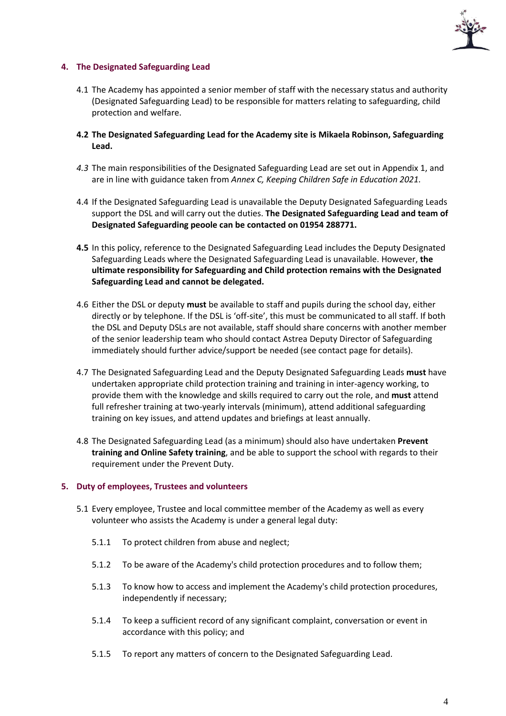

# **4. The Designated Safeguarding Lead**

- 4.1 The Academy has appointed a senior member of staff with the necessary status and authority (Designated Safeguarding Lead) to be responsible for matters relating to safeguarding, child protection and welfare.
- **4.2 The Designated Safeguarding Lead for the Academy site is Mikaela Robinson, Safeguarding Lead.**
- *4.3* The main responsibilities of the Designated Safeguarding Lead are set out in Appendix 1, and are in line with guidance taken from *Annex C, Keeping Children Safe in Education 2021.*
- 4.4 If the Designated Safeguarding Lead is unavailable the Deputy Designated Safeguarding Leads support the DSL and will carry out the duties. **The Designated Safeguarding Lead and team of Designated Safeguarding peoole can be contacted on 01954 288771.**
- **4.5** In this policy, reference to the Designated Safeguarding Lead includes the Deputy Designated Safeguarding Leads where the Designated Safeguarding Lead is unavailable. However, **the ultimate responsibility for Safeguarding and Child protection remains with the Designated Safeguarding Lead and cannot be delegated.**
- 4.6 Either the DSL or deputy **must** be available to staff and pupils during the school day, either directly or by telephone. If the DSL is 'off-site', this must be communicated to all staff. If both the DSL and Deputy DSLs are not available, staff should share concerns with another member of the senior leadership team who should contact Astrea Deputy Director of Safeguarding immediately should further advice/support be needed (see contact page for details).
- 4.7 The Designated Safeguarding Lead and the Deputy Designated Safeguarding Leads **must** have undertaken appropriate child protection training and training in inter-agency working, to provide them with the knowledge and skills required to carry out the role, and **must** attend full refresher training at two-yearly intervals (minimum), attend additional safeguarding training on key issues, and attend updates and briefings at least annually.
- 4.8 The Designated Safeguarding Lead (as a minimum) should also have undertaken **Prevent training and Online Safety training**, and be able to support the school with regards to their requirement under the Prevent Duty.

### <span id="page-5-0"></span>**5. Duty of employees, Trustees and volunteers**

- 5.1 Every employee, Trustee and local committee member of the Academy as well as every volunteer who assists the Academy is under a general legal duty:
	- 5.1.1 To protect children from abuse and neglect;
	- 5.1.2 To be aware of the Academy's child protection procedures and to follow them;
	- 5.1.3 To know how to access and implement the Academy's child protection procedures, independently if necessary;
	- 5.1.4 To keep a sufficient record of any significant complaint, conversation or event in accordance with this policy; and
	- 5.1.5 To report any matters of concern to the Designated Safeguarding Lead.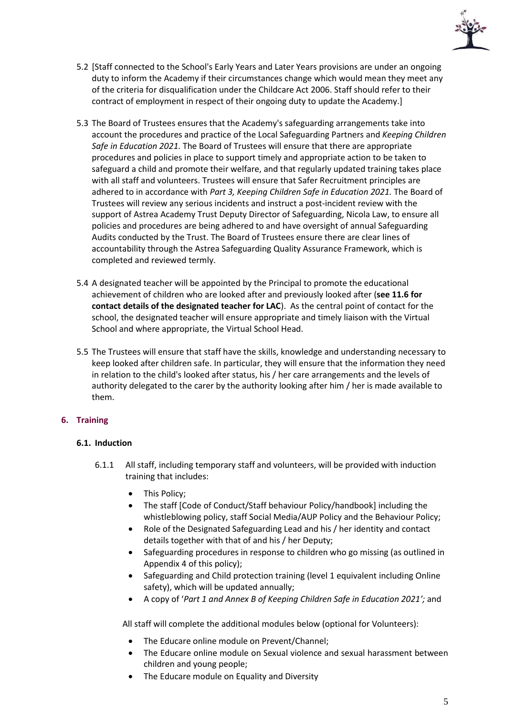

- 5.2 [Staff connected to the School's Early Years and Later Years provisions are under an ongoing duty to inform the Academy if their circumstances change which would mean they meet any of the criteria for disqualification under the Childcare Act 2006. Staff should refer to their contract of employment in respect of their ongoing duty to update the Academy.]
- 5.3 The Board of Trustees ensures that the Academy's safeguarding arrangements take into account the procedures and practice of the Local Safeguarding Partners and *Keeping Children Safe in Education 2021.* The Board of Trustees will ensure that there are appropriate procedures and policies in place to support timely and appropriate action to be taken to safeguard a child and promote their welfare, and that regularly updated training takes place with all staff and volunteers. Trustees will ensure that Safer Recruitment principles are adhered to in accordance with *Part 3, Keeping Children Safe in Education 2021.* The Board of Trustees will review any serious incidents and instruct a post-incident review with the support of Astrea Academy Trust Deputy Director of Safeguarding, Nicola Law, to ensure all policies and procedures are being adhered to and have oversight of annual Safeguarding Audits conducted by the Trust. The Board of Trustees ensure there are clear lines of accountability through the Astrea Safeguarding Quality Assurance Framework, which is completed and reviewed termly.
- 5.4 A designated teacher will be appointed by the Principal to promote the educational achievement of children who are looked after and previously looked after (**see 11.6 for contact details of the designated teacher for LAC**). As the central point of contact for the school, the designated teacher will ensure appropriate and timely liaison with the Virtual School and where appropriate, the Virtual School Head.
- 5.5 The Trustees will ensure that staff have the skills, knowledge and understanding necessary to keep looked after children safe. In particular, they will ensure that the information they need in relation to the child's looked after status, his / her care arrangements and the levels of authority delegated to the carer by the authority looking after him / her is made available to them.

# <span id="page-6-0"></span>**6. Training**

# <span id="page-6-1"></span>**6.1. Induction**

- 6.1.1 All staff, including temporary staff and volunteers, will be provided with induction training that includes:
	- This Policy;
	- The staff [Code of Conduct/Staff behaviour Policy/handbook] including the whistleblowing policy, staff Social Media/AUP Policy and the Behaviour Policy;
	- Role of the Designated Safeguarding Lead and his / her identity and contact details together with that of and his / her Deputy;
	- Safeguarding procedures in response to children who go missing (as outlined in Appendix 4 of this policy);
	- Safeguarding and Child protection training (level 1 equivalent including Online safety), which will be updated annually;
	- A copy of '*Part 1 and Annex B of Keeping Children Safe in Education 2021';* and

All staff will complete the additional modules below (optional for Volunteers):

- The Educare online module on Prevent/Channel;
- The Educare online module on Sexual violence and sexual harassment between children and young people;
- The Educare module on Equality and Diversity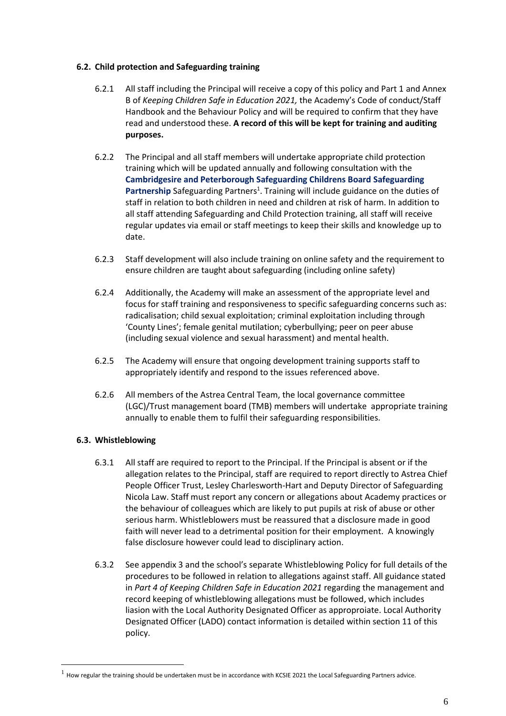# <span id="page-7-0"></span>**6.2. Child protection and Safeguarding training**

- 6.2.1 All staff including the Principal will receive a copy of this policy and Part 1 and Annex B of *Keeping Children Safe in Education 2021,* the Academy's Code of conduct/Staff Handbook and the Behaviour Policy and will be required to confirm that they have read and understood these. **A record of this will be kept for training and auditing purposes.**
- 6.2.2 The Principal and all staff members will undertake appropriate child protection training which will be updated annually and following consultation with the **Cambridgesire and Peterborough Safeguarding Childrens Board Safeguarding**  Partnership Safeguarding Partners<sup>1</sup>. Training will include guidance on the duties of staff in relation to both children in need and children at risk of harm. In addition to all staff attending Safeguarding and Child Protection training, all staff will receive regular updates via email or staff meetings to keep their skills and knowledge up to date.
- 6.2.3 Staff development will also include training on online safety and the requirement to ensure children are taught about safeguarding (including online safety)
- 6.2.4 Additionally, the Academy will make an assessment of the appropriate level and focus for staff training and responsiveness to specific safeguarding concerns such as: radicalisation; child sexual exploitation; criminal exploitation including through 'County Lines'; female genital mutilation; cyberbullying; peer on peer abuse (including sexual violence and sexual harassment) and mental health.
- 6.2.5 The Academy will ensure that ongoing development training supports staff to appropriately identify and respond to the issues referenced above.
- 6.2.6 All members of the Astrea Central Team, the local governance committee (LGC)/Trust management board (TMB) members will undertake appropriate training annually to enable them to fulfil their safeguarding responsibilities.

# <span id="page-7-1"></span>**6.3. Whistleblowing**

- 6.3.1 All staff are required to report to the Principal. If the Principal is absent or if the allegation relates to the Principal, staff are required to report directly to Astrea Chief People Officer Trust, Lesley Charlesworth-Hart and Deputy Director of Safeguarding Nicola Law. Staff must report any concern or allegations about Academy practices or the behaviour of colleagues which are likely to put pupils at risk of abuse or other serious harm. Whistleblowers must be reassured that a disclosure made in good faith will never lead to a detrimental position for their employment. A knowingly false disclosure however could lead to disciplinary action.
- 6.3.2 See appendix 3 and the school's separate Whistleblowing Policy for full details of the procedures to be followed in relation to allegations against staff. All guidance stated in *Part 4 of Keeping Children Safe in Education 2021* regarding the management and record keeping of whistleblowing allegations must be followed, which includes liasion with the Local Authority Designated Officer as approproiate. Local Authority Designated Officer (LADO) contact information is detailed within section 11 of this policy.

<span id="page-7-2"></span><sup>1</sup> How regular the training should be undertaken must be in accordance with KCSIE 2021 the Local Safeguarding Partners advice.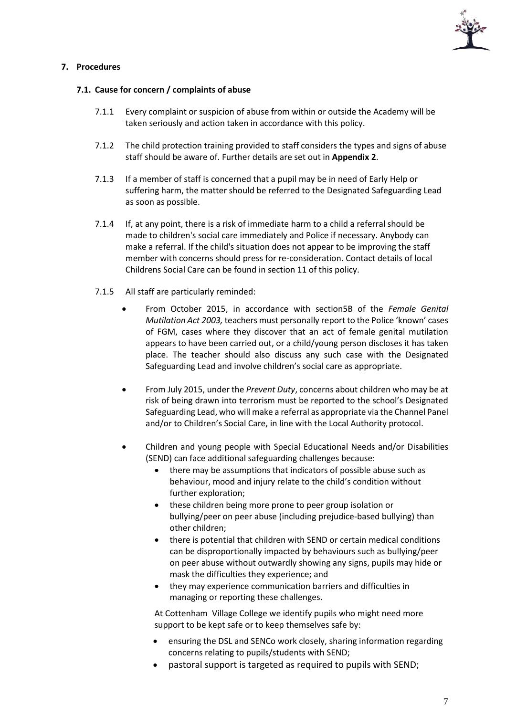

# **7. Procedures**

### <span id="page-8-0"></span>**7.1. Cause for concern / complaints of abuse**

- 7.1.1 Every complaint or suspicion of abuse from within or outside the Academy will be taken seriously and action taken in accordance with this policy.
- 7.1.2 The child protection training provided to staff considers the types and signs of abuse staff should be aware of. Further details are set out in **[Appendix 2](#page-21-0)**.
- 7.1.3 If a member of staff is concerned that a pupil may be in need of Early Help or suffering harm, the matter should be referred to the Designated Safeguarding Lead as soon as possible.
- 7.1.4 If, at any point, there is a risk of immediate harm to a child a referral should be made to children's social care immediately and Police if necessary. Anybody can make a referral. If the child's situation does not appear to be improving the staff member with concerns should press for re-consideration. Contact details of local Childrens Social Care can be found in section 11 of this policy.
- 7.1.5 All staff are particularly reminded:
	- From October 2015, in accordance with section5B of the *Female Genital Mutilation Act 2003,* teachers must personally report to the Police 'known' cases of FGM, cases where they discover that an act of female genital mutilation appears to have been carried out, or a child/young person discloses it has taken place. The teacher should also discuss any such case with the Designated Safeguarding Lead and involve children's social care as appropriate.
	- From July 2015, under the *Prevent Duty*, concerns about children who may be at risk of being drawn into terrorism must be reported to the school's Designated Safeguarding Lead, who will make a referral as appropriate via the Channel Panel and/or to Children's Social Care, in line with the Local Authority protocol.
	- Children and young people with Special Educational Needs and/or Disabilities (SEND) can face additional safeguarding challenges because:
		- there may be assumptions that indicators of possible abuse such as behaviour, mood and injury relate to the child's condition without further exploration;
		- these children being more prone to peer group isolation or bullying/peer on peer abuse (including prejudice-based bullying) than other children;
		- there is potential that children with SEND or certain medical conditions can be disproportionally impacted by behaviours such as bullying/peer on peer abuse without outwardly showing any signs, pupils may hide or mask the difficulties they experience; and
		- they may experience communication barriers and difficulties in managing or reporting these challenges.

At Cottenham Village College we identify pupils who might need more support to be kept safe or to keep themselves safe by:

- ensuring the DSL and SENCo work closely, sharing information regarding concerns relating to pupils/students with SEND;
- pastoral support is targeted as required to pupils with SEND;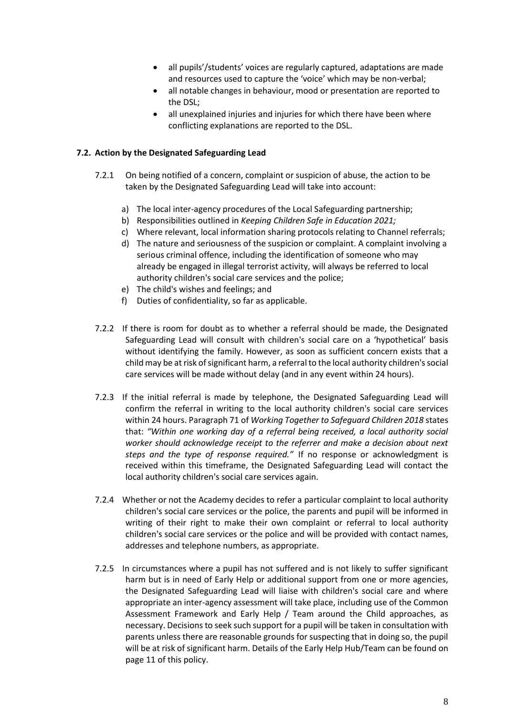- all pupils'/students' voices are regularly captured, adaptations are made and resources used to capture the 'voice' which may be non-verbal;
- all notable changes in behaviour, mood or presentation are reported to the DSL;
- all unexplained injuries and injuries for which there have been where conflicting explanations are reported to the DSL.

### <span id="page-9-0"></span>**7.2. Action by the Designated Safeguarding Lead**

- 7.2.1 On being notified of a concern, complaint or suspicion of abuse, the action to be taken by the Designated Safeguarding Lead will take into account:
	- a) The local inter-agency procedures of the Local Safeguarding partnership;
	- b) Responsibilities outlined in *Keeping Children Safe in Education 2021;*
	- c) Where relevant, local information sharing protocols relating to Channel referrals;
	- d) The nature and seriousness of the suspicion or complaint. A complaint involving a serious criminal offence, including the identification of someone who may already be engaged in illegal terrorist activity, will always be referred to local authority children's social care services and the police;
	- e) The child's wishes and feelings; and
	- f) Duties of confidentiality, so far as applicable.
- 7.2.2 If there is room for doubt as to whether a referral should be made, the Designated Safeguarding Lead will consult with children's social care on a 'hypothetical' basis without identifying the family. However, as soon as sufficient concern exists that a child may be at risk of significant harm, a referral to the local authority children's social care services will be made without delay (and in any event within 24 hours).
- 7.2.3 If the initial referral is made by telephone, the Designated Safeguarding Lead will confirm the referral in writing to the local authority children's social care services within 24 hours. Paragraph 71 of *Working Together to Safeguard Children 2018* states that: *"Within one working day of a referral being received, a local authority social worker should acknowledge receipt to the referrer and make a decision about next steps and the type of response required."* If no response or acknowledgment is received within this timeframe, the Designated Safeguarding Lead will contact the local authority children's social care services again.
- 7.2.4 Whether or not the Academy decides to refer a particular complaint to local authority children's social care services or the police, the parents and pupil will be informed in writing of their right to make their own complaint or referral to local authority children's social care services or the police and will be provided with contact names, addresses and telephone numbers, as appropriate.
- 7.2.5 In circumstances where a pupil has not suffered and is not likely to suffer significant harm but is in need of Early Help or additional support from one or more agencies, the Designated Safeguarding Lead will liaise with children's social care and where appropriate an inter-agency assessment will take place, including use of the Common Assessment Framework and Early Help / Team around the Child approaches, as necessary. Decisions to seek such support for a pupil will be taken in consultation with parents unless there are reasonable grounds for suspecting that in doing so, the pupil will be at risk of significant harm. Details of the Early Help Hub/Team can be found on page 11 of this policy.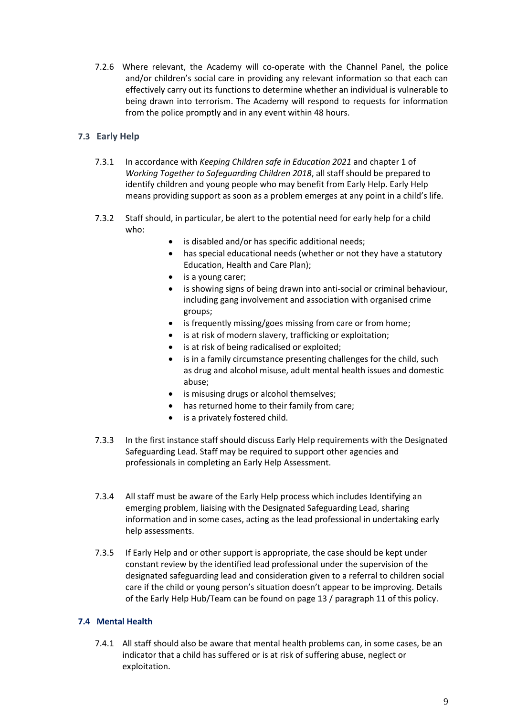7.2.6 Where relevant, the Academy will co-operate with the Channel Panel, the police and/or children's social care in providing any relevant information so that each can effectively carry out its functions to determine whether an individual is vulnerable to being drawn into terrorism. The Academy will respond to requests for information from the police promptly and in any event within 48 hours.

# **7.3 Early Help**

- <span id="page-10-0"></span>7.3.1 In accordance with *Keeping Children safe in Education 2021* and chapter 1 of *Working Together to Safeguarding Children 2018*, all staff should be prepared to identify children and young people who may benefit from Early Help. Early Help means providing support as soon as a problem emerges at any point in a child's life.
- 7.3.2 Staff should, in particular, be alert to the potential need for early help for a child who:
	- is disabled and/or has specific additional needs;
	- has special educational needs (whether or not they have a statutory Education, Health and Care Plan);
	- is a young carer;
	- is showing signs of being drawn into anti-social or criminal behaviour, including gang involvement and association with organised crime groups;
	- is frequently missing/goes missing from care or from home;
	- is at risk of modern slavery, trafficking or exploitation;
	- is at risk of being radicalised or exploited;
	- is in a family circumstance presenting challenges for the child, such as drug and alcohol misuse, adult mental health issues and domestic abuse;
	- is misusing drugs or alcohol themselves;
	- has returned home to their family from care;
	- is a privately fostered child.
- 7.3.3 In the first instance staff should discuss Early Help requirements with the Designated Safeguarding Lead. Staff may be required to support other agencies and professionals in completing an Early Help Assessment.
- 7.3.4 All staff must be aware of the Early Help process which includes Identifying an emerging problem, liaising with the Designated Safeguarding Lead, sharing information and in some cases, acting as the lead professional in undertaking early help assessments.
- 7.3.5 If Early Help and or other support is appropriate, the case should be kept under constant review by the identified lead professional under the supervision of the designated safeguarding lead and consideration given to a referral to children social care if the child or young person's situation doesn't appear to be improving. Details of the Early Help Hub/Team can be found on page 13 / paragraph 11 of this policy.

# <span id="page-10-1"></span>**7.4 Mental Health**

7.4.1 All staff should also be aware that mental health problems can, in some cases, be an indicator that a child has suffered or is at risk of suffering abuse, neglect or exploitation.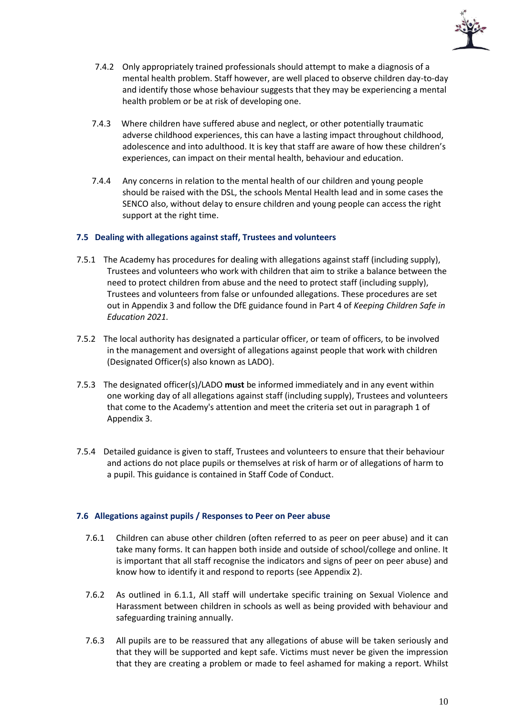

- 7.4.2 Only appropriately trained professionals should attempt to make a diagnosis of a mental health problem. Staff however, are well placed to observe children day-to-day and identify those whose behaviour suggests that they may be experiencing a mental health problem or be at risk of developing one.
- 7.4.3 Where children have suffered abuse and neglect, or other potentially traumatic adverse childhood experiences, this can have a lasting impact throughout childhood, adolescence and into adulthood. It is key that staff are aware of how these children's experiences, can impact on their mental health, behaviour and education.
- 7.4.4 Any concerns in relation to the mental health of our children and young people should be raised with the DSL, the schools Mental Health lead and in some cases the SENCO also, without delay to ensure children and young people can access the right support at the right time.

# **7.5 Dealing with allegations against staff, Trustees and volunteers**

- 7.5.1 The Academy has procedures for dealing with allegations against staff (including supply), Trustees and volunteers who work with children that aim to strike a balance between the need to protect children from abuse and the need to protect staff (including supply), Trustees and volunteers from false or unfounded allegations. These procedures are set out in Appendix 3 and follow the DfE guidance found in Part 4 of *Keeping Children Safe in Education 2021.*
- 7.5.2 The local authority has designated a particular officer, or team of officers, to be involved in the management and oversight of allegations against people that work with children (Designated Officer(s) also known as LADO).
- 7.5.3 The designated officer(s)/LADO **must** be informed immediately and in any event within one working day of all allegations against staff (including supply), Trustees and volunteers that come to the Academy's attention and meet the criteria set out in paragraph 1 of Appendix 3.
- 7.5.4 Detailed guidance is given to staff, Trustees and volunteers to ensure that their behaviour and actions do not place pupils or themselves at risk of harm or of allegations of harm to a pupil. This guidance is contained in Staff Code of Conduct.

### **7.6 Allegations against pupils / Responses to Peer on Peer abuse**

- <span id="page-11-0"></span>7.6.1 Children can abuse other children (often referred to as peer on peer abuse) and it can take many forms. It can happen both inside and outside of school/college and online. It is important that all staff recognise the indicators and signs of peer on peer abuse) and know how to identify it and respond to reports (see Appendix 2).
- 7.6.2 As outlined in 6.1.1, All staff will undertake specific training on Sexual Violence and Harassment between children in schools as well as being provided with behaviour and safeguarding training annually.
- 7.6.3 All pupils are to be reassured that any allegations of abuse will be taken seriously and that they will be supported and kept safe. Victims must never be given the impression that they are creating a problem or made to feel ashamed for making a report. Whilst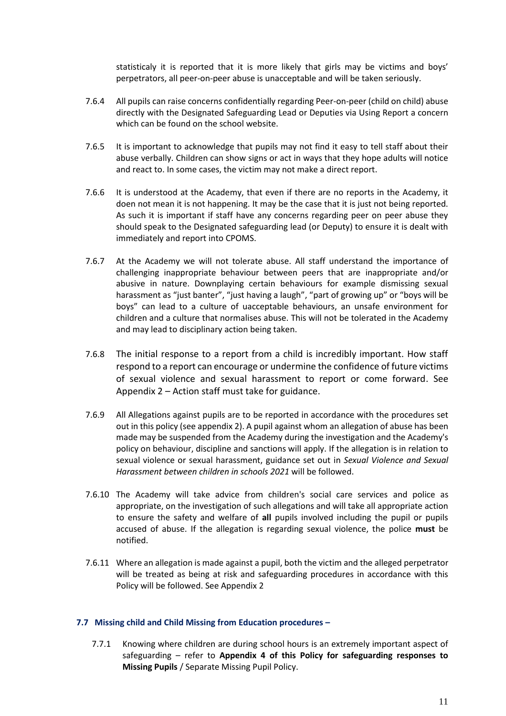statisticaly it is reported that it is more likely that girls may be victims and boys' perpetrators, all peer-on-peer abuse is unacceptable and will be taken seriously.

- 7.6.4 All pupils can raise concerns confidentially regarding Peer-on-peer (child on child) abuse directly with the Designated Safeguarding Lead or Deputies via Using Report a concern which can be found on the school website.
- 7.6.5 It is important to acknowledge that pupils may not find it easy to tell staff about their abuse verbally. Children can show signs or act in ways that they hope adults will notice and react to. In some cases, the victim may not make a direct report.
- 7.6.6 It is understood at the Academy, that even if there are no reports in the Academy, it doen not mean it is not happening. It may be the case that it is just not being reported. As such it is important if staff have any concerns regarding peer on peer abuse they should speak to the Designated safeguarding lead (or Deputy) to ensure it is dealt with immediately and report into CPOMS.
- 7.6.7 At the Academy we will not tolerate abuse. All staff understand the importance of challenging inappropriate behaviour between peers that are inappropriate and/or abusive in nature. Downplaying certain behaviours for example dismissing sexual harassment as "just banter", "just having a laugh", "part of growing up" or "boys will be boys" can lead to a culture of uacceptable behaviours, an unsafe environment for children and a culture that normalises abuse. This will not be tolerated in the Academy and may lead to disciplinary action being taken.
- 7.6.8 The initial response to a report from a child is incredibly important. How staff respond to a report can encourage or undermine the confidence of future victims of sexual violence and sexual harassment to report or come forward. See Appendix 2 – Action staff must take for guidance.
- 7.6.9 All Allegations against pupils are to be reported in accordance with the procedures set out in this policy (see appendix 2). A pupil against whom an allegation of abuse has been made may be suspended from the Academy during the investigation and the Academy's policy on behaviour, discipline and sanctions will apply. If the allegation is in relation to sexual violence or sexual harassment, guidance set out in *Sexual Violence and Sexual Harassment between children in schools 2021* will be followed.
- 7.6.10 The Academy will take advice from children's social care services and police as appropriate, on the investigation of such allegations and will take all appropriate action to ensure the safety and welfare of **all** pupils involved including the pupil or pupils accused of abuse. If the allegation is regarding sexual violence, the police **must** be notified.
- 7.6.11 Where an allegation is made against a pupil, both the victim and the alleged perpetrator will be treated as being at risk and safeguarding procedures in accordance with this Policy will be followed. See Appendix 2

### <span id="page-12-0"></span>**7.7 Missing child and Child Missing from Education procedures –**

7.7.1 Knowing where children are during school hours is an extremely important aspect of safeguarding – refer to **Appendix 4 of this Policy for safeguarding responses to Missing Pupils** / Separate Missing Pupil Policy.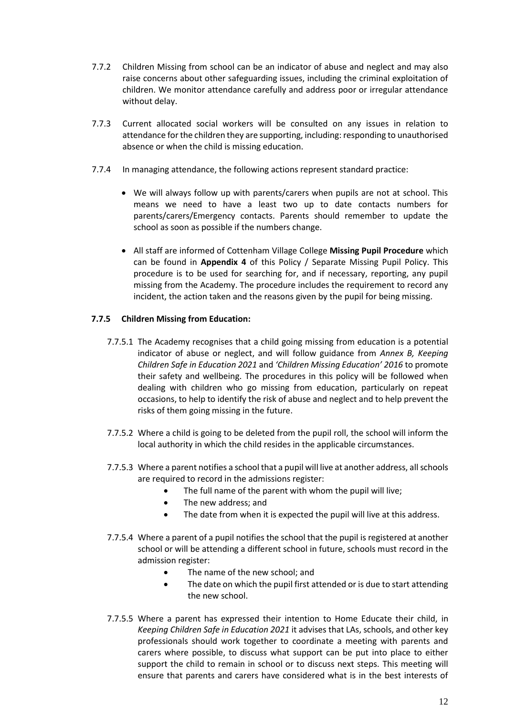- 7.7.2 Children Missing from school can be an indicator of abuse and neglect and may also raise concerns about other safeguarding issues, including the criminal exploitation of children. We monitor attendance carefully and address poor or irregular attendance without delay.
- 7.7.3 Current allocated social workers will be consulted on any issues in relation to attendance for the children they are supporting, including: responding to unauthorised absence or when the child is missing education.
- 7.7.4 In managing attendance, the following actions represent standard practice:
	- We will always follow up with parents/carers when pupils are not at school. This means we need to have a least two up to date contacts numbers for parents/carers/Emergency contacts. Parents should remember to update the school as soon as possible if the numbers change.
	- All staff are informed of Cottenham Village College **Missing Pupil Procedure** which can be found in **Appendix 4** of this Policy / Separate Missing Pupil Policy. This procedure is to be used for searching for, and if necessary, reporting, any pupil missing from the Academy. The procedure includes the requirement to record any incident, the action taken and the reasons given by the pupil for being missing.

# **7.7.5 Children Missing from Education:**

- 7.7.5.1 The Academy recognises that a child going missing from education is a potential indicator of abuse or neglect, and will follow guidance from *Annex B, Keeping Children Safe in Education 2021* and *'Children Missing Education' 2016* to promote their safety and wellbeing. The procedures in this policy will be followed when dealing with children who go missing from education, particularly on repeat occasions, to help to identify the risk of abuse and neglect and to help prevent the risks of them going missing in the future.
- 7.7.5.2 Where a child is going to be deleted from the pupil roll, the school will inform the local authority in which the child resides in the applicable circumstances.
- 7.7.5.3 Where a parent notifies a school that a pupil will live at another address, all schools are required to record in the admissions register:
	- The full name of the parent with whom the pupil will live;
	- The new address; and
	- The date from when it is expected the pupil will live at this address.
- 7.7.5.4 Where a parent of a pupil notifies the school that the pupil is registered at another school or will be attending a different school in future, schools must record in the admission register:
	- The name of the new school; and
	- The date on which the pupil first attended or is due to start attending the new school.
- 7.7.5.5 Where a parent has expressed their intention to Home Educate their child, in *Keeping Children Safe in Education 2021* it advises that LAs, schools, and other key professionals should work together to coordinate a meeting with parents and carers where possible, to discuss what support can be put into place to either support the child to remain in school or to discuss next steps. This meeting will ensure that parents and carers have considered what is in the best interests of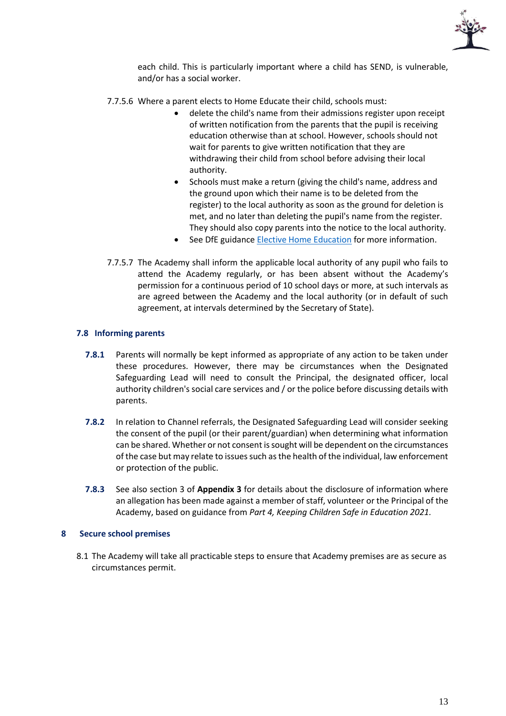

each child. This is particularly important where a child has SEND, is vulnerable, and/or has a social worker.

- 7.7.5.6 Where a parent elects to Home Educate their child, schools must:
	- delete the child's name from their admissions register upon receipt of written notification from the parents that the pupil is receiving education otherwise than at school. However, schools should not wait for parents to give written notification that they are withdrawing their child from school before advising their local authority.
	- Schools must make a return (giving the child's name, address and the ground upon which their name is to be deleted from the register) to the local authority as soon as the ground for deletion is met, and no later than deleting the pupil's name from the register. They should also copy parents into the notice to the local authority.
	- See DfE guidance **Elective [Home Education](https://assets.publishing.service.gov.uk/government/uploads/system/uploads/attachment_data/file/791527/Elective_home_education_gudiance_for_LAv2.0.pdf)** for more information.
- 7.7.5.7 The Academy shall inform the applicable local authority of any pupil who fails to attend the Academy regularly, or has been absent without the Academy's permission for a continuous period of 10 school days or more, at such intervals as are agreed between the Academy and the local authority (or in default of such agreement, at intervals determined by the Secretary of State).

# <span id="page-14-0"></span>**7.8 Informing parents**

- **7.8.1** Parents will normally be kept informed as appropriate of any action to be taken under these procedures. However, there may be circumstances when the Designated Safeguarding Lead will need to consult the Principal, the designated officer, local authority children's social care services and / or the police before discussing details with parents.
- **7.8.2** In relation to Channel referrals, the Designated Safeguarding Lead will consider seeking the consent of the pupil (or their parent/guardian) when determining what information can be shared. Whether or not consent is sought will be dependent on the circumstances of the case but may relate to issues such as the health of the individual, law enforcement or protection of the public.
- **7.8.3** See also section 3 of **Appendix 3** for details about the disclosure of information where an allegation has been made against a member of staff, volunteer or the Principal of the Academy, based on guidance from *Part 4, Keeping Children Safe in Education 2021.*

### <span id="page-14-1"></span>**8 Secure school premises**

8.1 The Academy will take all practicable steps to ensure that Academy premises are as secure as circumstances permit.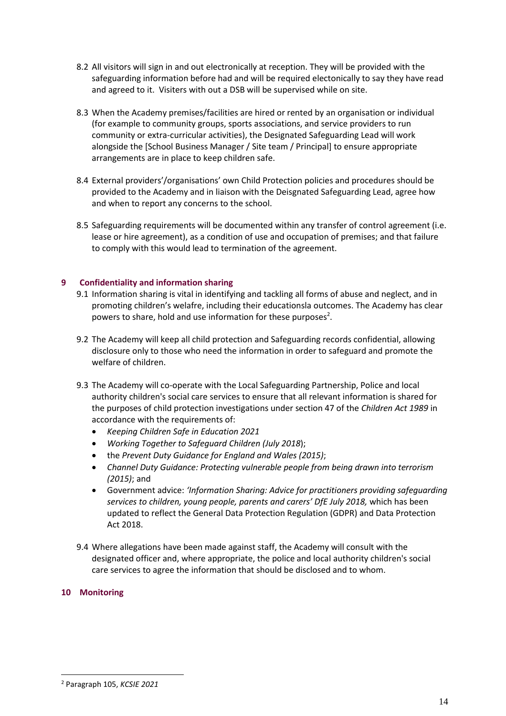- 8.2 All visitors will sign in and out electronically at reception. They will be provided with the safeguarding information before had and will be required electonically to say they have read and agreed to it. Visiters with out a DSB will be supervised while on site.
- 8.3 When the Academy premises/facilities are hired or rented by an organisation or individual (for example to community groups, sports associations, and service providers to run community or extra-curricular activities), the Designated Safeguarding Lead will work alongside the [School Business Manager / Site team / Principal] to ensure appropriate arrangements are in place to keep children safe.
- 8.4 External providers'/organisations' own Child Protection policies and procedures should be provided to the Academy and in liaison with the Deisgnated Safeguarding Lead, agree how and when to report any concerns to the school.
- 8.5 Safeguarding requirements will be documented within any transfer of control agreement (i.e. lease or hire agreement), as a condition of use and occupation of premises; and that failure to comply with this would lead to termination of the agreement.

# <span id="page-15-0"></span>**9 Confidentiality and information sharing**

- 9.1 Information sharing is vital in identifying and tackling all forms of abuse and neglect, and in promoting children's welafre, including their educationsla outcomes. The Academy has clear powers to share, hold and use information for these purposes<sup>2</sup>.
- 9.2 The Academy will keep all child protection and Safeguarding records confidential, allowing disclosure only to those who need the information in order to safeguard and promote the welfare of children.
- 9.3 The Academy will co-operate with the Local Safeguarding Partnership, Police and local authority children's social care services to ensure that all relevant information is shared for the purposes of child protection investigations under section 47 of the *Children Act 1989* in accordance with the requirements of:
	- *Keeping Children Safe in Education 2021*
	- *Working Together to Safeguard Children (July 2018*);
	- the *Prevent Duty Guidance for England and Wales (2015)*;
	- *Channel Duty Guidance: Protecting vulnerable people from being drawn into terrorism (2015)*; and
	- Government advice: *'Information Sharing: Advice for practitioners providing safeguarding services to children, young people, parents and carers' DfE July 2018,* which has been updated to reflect the General Data Protection Regulation (GDPR) and Data Protection Act 2018.
- 9.4 Where allegations have been made against staff, the Academy will consult with the designated officer and, where appropriate, the police and local authority children's social care services to agree the information that should be disclosed and to whom.

# <span id="page-15-1"></span>**10 Monitoring**

<sup>2</sup> Paragraph 105, *KCSIE 2021*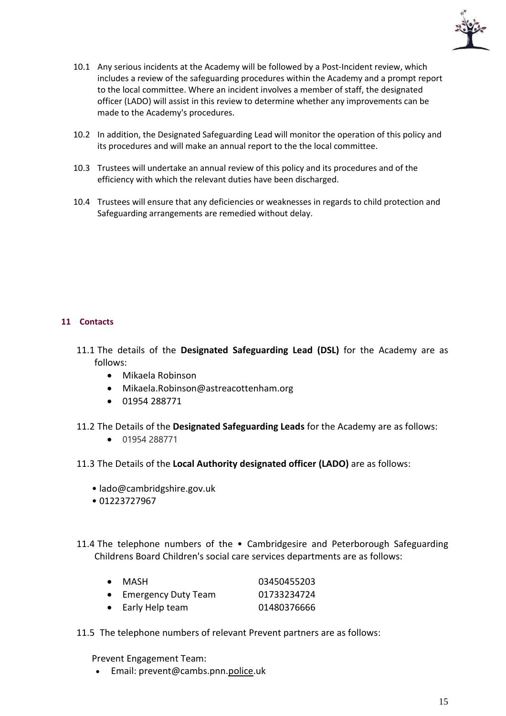

- 10.1 Any serious incidents at the Academy will be followed by a Post-Incident review, which includes a review of the safeguarding procedures within the Academy and a prompt report to the local committee. Where an incident involves a member of staff, the designated officer (LADO) will assist in this review to determine whether any improvements can be made to the Academy's procedures.
- 10.2 In addition, the Designated Safeguarding Lead will monitor the operation of this policy and its procedures and will make an annual report to the the local committee.
- 10.3 Trustees will undertake an annual review of this policy and its procedures and of the efficiency with which the relevant duties have been discharged.
- <span id="page-16-0"></span>10.4 Trustees will ensure that any deficiencies or weaknesses in regards to child protection and Safeguarding arrangements are remedied without delay.

# **11 Contacts**

- 11.1 The details of the **Designated Safeguarding Lead (DSL)** for the Academy are as follows:
	- Mikaela Robinson
	- Mikaela.Robinson@astreacottenham.org
	- 01954 288771
- 11.2 The Details of the **Designated Safeguarding Leads** for the Academy are as follows:
	- 01954 288771
- 11.3 The Details of the **Local Authority designated officer (LADO)** are as follows:
	- lado@cambridgshire.gov.uk
	- 01223727967
- 11.4 The telephone numbers of the Cambridgesire and Peterborough Safeguarding Childrens Board Children's social care services departments are as follows:

| $\bullet$ mash        | 03450455203 |
|-----------------------|-------------|
| • Emergency Duty Team | 01733234724 |
| • Early Help team     | 01480376666 |

11.5 The telephone numbers of relevant Prevent partners are as follows:

Prevent Engagement Team:

• Email: prevent@cambs.pnn[.police.](https://www.safeguardingcambspeterborough.org.uk/glossary/police/)uk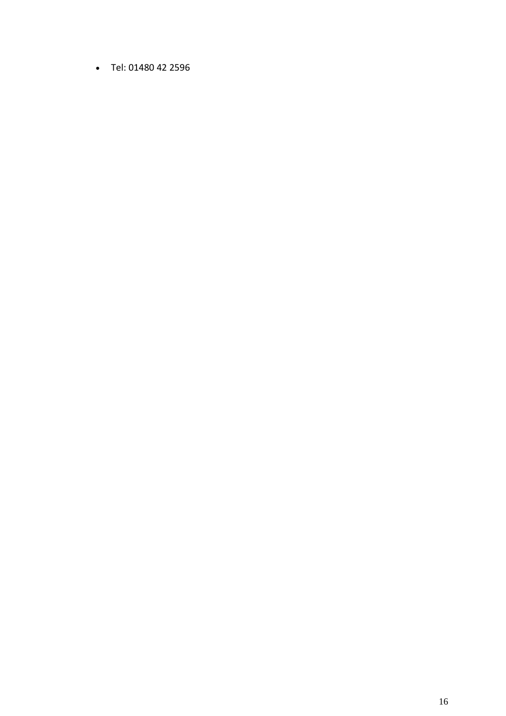• Tel: 01480 42 2596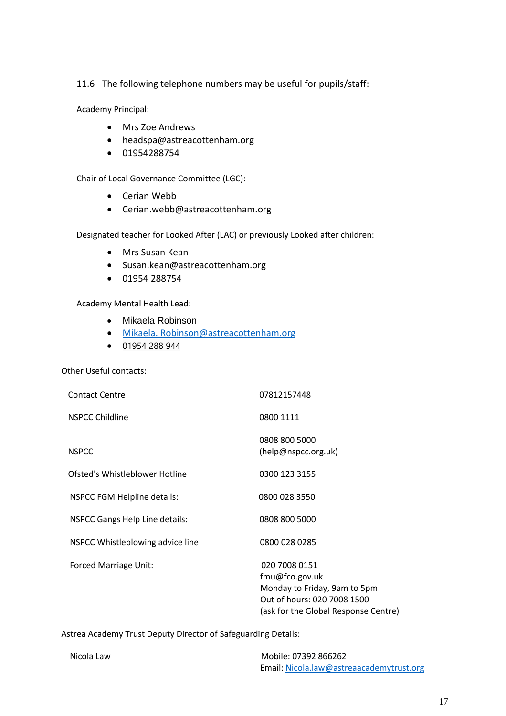# 11.6 The following telephone numbers may be useful for pupils/staff:

Academy Principal:

- Mrs Zoe Andrews
- headspa@astreacottenham.org
- 01954288754

Chair of Local Governance Committee (LGC):

- Cerian Webb
- Cerian.webb@astreacottenham.org

Designated teacher for Looked After (LAC) or previously Looked after children:

- Mrs Susan Kean
- Susan.kean@astreacottenham.org
- 01954 288754

Academy Mental Health Lead:

- Mikaela Robinson
- [Mikaela. Robinson@astreacottenham.org](mailto:Mikaela.%20Robinson@astreacottenham.org)
- 01954 288 944

Other Useful contacts:

| <b>Contact Centre</b>                 | 07812157448                                                                                                                            |
|---------------------------------------|----------------------------------------------------------------------------------------------------------------------------------------|
| <b>NSPCC Childline</b>                | 0800 1111                                                                                                                              |
| <b>NSPCC</b>                          | 0808 800 5000<br>(help@nspcc.org.uk)                                                                                                   |
| Ofsted's Whistleblower Hotline        | 0300 123 3155                                                                                                                          |
| <b>NSPCC FGM Helpline details:</b>    | 0800 028 3550                                                                                                                          |
| <b>NSPCC Gangs Help Line details:</b> | 0808 800 5000                                                                                                                          |
| NSPCC Whistleblowing advice line      | 0800 028 0285                                                                                                                          |
| Forced Marriage Unit:                 | 020 7008 0151<br>fmu@fco.gov.uk<br>Monday to Friday, 9am to 5pm<br>Out of hours: 020 7008 1500<br>(ask for the Global Response Centre) |

Astrea Academy Trust Deputy Director of Safeguarding Details:

 Nicola Law Mobile: 07392 866262 Email[: Nicola.law@astreaacademytrust.org](mailto:Nicola.law@astreaacademytrust.org)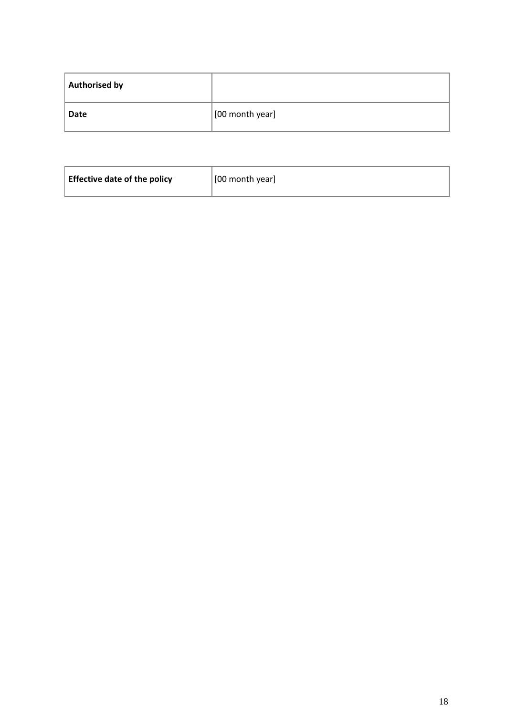| <b>Authorised by</b> |                 |
|----------------------|-----------------|
| Date                 | [00 month year] |

| Effective date of the policy | [00 month year] |
|------------------------------|-----------------|
|                              |                 |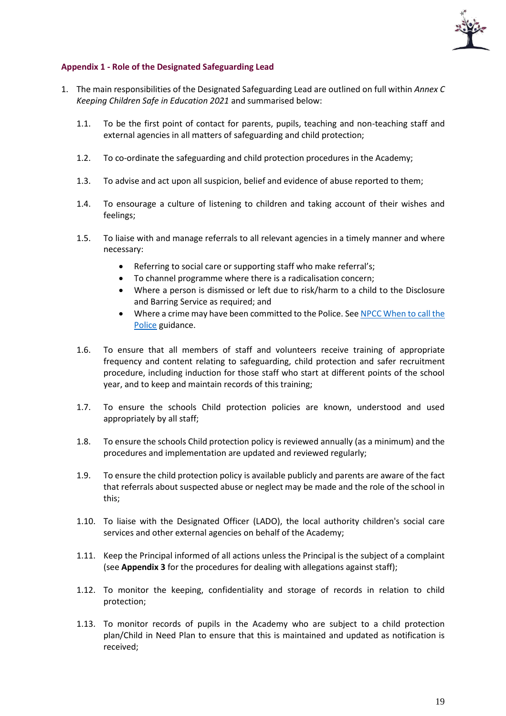

# <span id="page-20-0"></span>**Appendix 1 - Role of the Designated Safeguarding Lead**

- 1. The main responsibilities of the Designated Safeguarding Lead are outlined on full within *Annex C Keeping Children Safe in Education 2021* and summarised below:
	- 1.1. To be the first point of contact for parents, pupils, teaching and non-teaching staff and external agencies in all matters of safeguarding and child protection;
	- 1.2. To co-ordinate the safeguarding and child protection procedures in the Academy;
	- 1.3. To advise and act upon all suspicion, belief and evidence of abuse reported to them;
	- 1.4. To ensourage a culture of listening to children and taking account of their wishes and feelings;
	- 1.5. To liaise with and manage referrals to all relevant agencies in a timely manner and where necessary:
		- Referring to social care or supporting staff who make referral's;
		- To channel programme where there is a radicalisation concern;
		- Where a person is dismissed or left due to risk/harm to a child to the Disclosure and Barring Service as required; and
		- Where a crime may have been committed to the Police. See [NPCC When to call the](https://www.npcc.police.uk/documents/Children%20and%20Young%20people/When%20to%20call%20the%20police%20guidance%20for%20schools%20and%20colleges.pdf)  [Police](https://www.npcc.police.uk/documents/Children%20and%20Young%20people/When%20to%20call%20the%20police%20guidance%20for%20schools%20and%20colleges.pdf) guidance.
	- 1.6. To ensure that all members of staff and volunteers receive training of appropriate frequency and content relating to safeguarding, child protection and safer recruitment procedure, including induction for those staff who start at different points of the school year, and to keep and maintain records of this training;
	- 1.7. To ensure the schools Child protection policies are known, understood and used appropriately by all staff;
	- 1.8. To ensure the schools Child protection policy is reviewed annually (as a minimum) and the procedures and implementation are updated and reviewed regularly;
	- 1.9. To ensure the child protection policy is available publicly and parents are aware of the fact that referrals about suspected abuse or neglect may be made and the role of the school in this;
	- 1.10. To liaise with the Designated Officer (LADO), the local authority children's social care services and other external agencies on behalf of the Academy;
	- 1.11. Keep the Principal informed of all actions unless the Principal is the subject of a complaint (see **[Appendix 3](#page-33-0)** for the procedures for dealing with allegations against staff);
	- 1.12. To monitor the keeping, confidentiality and storage of records in relation to child protection;
	- 1.13. To monitor records of pupils in the Academy who are subject to a child protection plan/Child in Need Plan to ensure that this is maintained and updated as notification is received;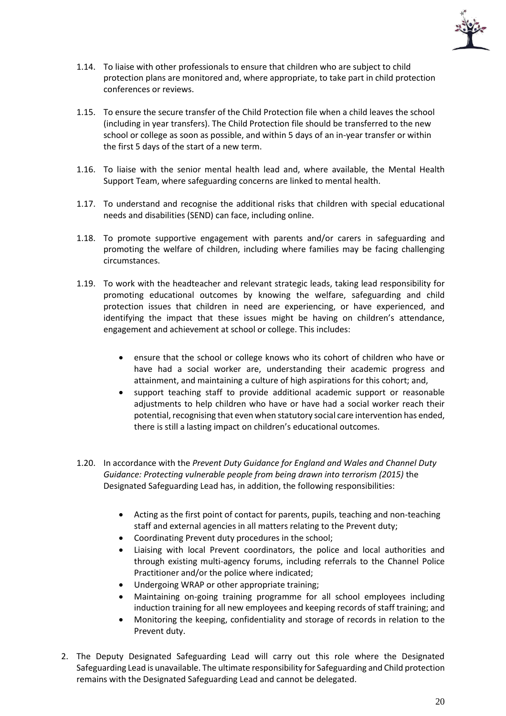

- 1.14. To liaise with other professionals to ensure that children who are subject to child protection plans are monitored and, where appropriate, to take part in child protection conferences or reviews.
- 1.15. To ensure the secure transfer of the Child Protection file when a child leaves the school (including in year transfers). The Child Protection file should be transferred to the new school or college as soon as possible, and within 5 days of an in-year transfer or within the first 5 days of the start of a new term.
- 1.16. To liaise with the senior mental health lead and, where available, the Mental Health Support Team, where safeguarding concerns are linked to mental health.
- 1.17. To understand and recognise the additional risks that children with special educational needs and disabilities (SEND) can face, including online.
- 1.18. To promote supportive engagement with parents and/or carers in safeguarding and promoting the welfare of children, including where families may be facing challenging circumstances.
- 1.19. To work with the headteacher and relevant strategic leads, taking lead responsibility for promoting educational outcomes by knowing the welfare, safeguarding and child protection issues that children in need are experiencing, or have experienced, and identifying the impact that these issues might be having on children's attendance, engagement and achievement at school or college. This includes:
	- ensure that the school or college knows who its cohort of children who have or have had a social worker are, understanding their academic progress and attainment, and maintaining a culture of high aspirations for this cohort; and,
	- support teaching staff to provide additional academic support or reasonable adjustments to help children who have or have had a social worker reach their potential, recognising that even when statutory social care intervention has ended, there is still a lasting impact on children's educational outcomes.
- 1.20. In accordance with the *Prevent Duty Guidance for England and Wales and Channel Duty Guidance: Protecting vulnerable people from being drawn into terrorism (2015)* the Designated Safeguarding Lead has, in addition, the following responsibilities:
	- Acting as the first point of contact for parents, pupils, teaching and non-teaching staff and external agencies in all matters relating to the Prevent duty;
	- Coordinating Prevent duty procedures in the school;
	- Liaising with local Prevent coordinators, the police and local authorities and through existing multi-agency forums, including referrals to the Channel Police Practitioner and/or the police where indicated;
	- Undergoing WRAP or other appropriate training;
	- Maintaining on-going training programme for all school employees including induction training for all new employees and keeping records of staff training; and
	- Monitoring the keeping, confidentiality and storage of records in relation to the Prevent duty.
- <span id="page-21-0"></span>2. The Deputy Designated Safeguarding Lead will carry out this role where the Designated Safeguarding Lead is unavailable. The ultimate responsibility for Safeguarding and Child protection remains with the Designated Safeguarding Lead and cannot be delegated.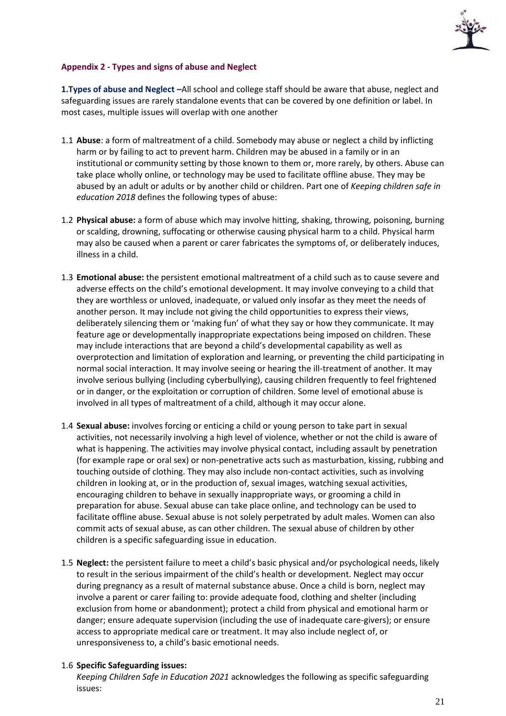

# **Appendix 2 - Types and signs of abuse and Neglect**

**1.Types of abuse and Neglect –**All school and college staff should be aware that abuse, neglect and safeguarding issues are rarely standalone events that can be covered by one definition or label. In most cases, multiple issues will overlap with one another

- 1.1 **Abuse**: a form of maltreatment of a child. Somebody may abuse or neglect a child by inflicting harm or by failing to act to prevent harm. Children may be abused in a family or in an institutional or community setting by those known to them or, more rarely, by others. Abuse can take place wholly online, or technology may be used to facilitate offline abuse. They may be abused by an adult or adults or by another child or children. Part one of *Keeping children safe in education 2018* defines the following types of abuse:
- 1.2 **Physical abuse:** a form of abuse which may involve hitting, shaking, throwing, poisoning, burning or scalding, drowning, suffocating or otherwise causing physical harm to a child. Physical harm may also be caused when a parent or carer fabricates the symptoms of, or deliberately induces, illness in a child.
- 1.3 **Emotional abuse:** the persistent emotional maltreatment of a child such as to cause severe and adverse effects on the child's emotional development. It may involve conveying to a child that they are worthless or unloved, inadequate, or valued only insofar as they meet the needs of another person. It may include not giving the child opportunities to express their views, deliberately silencing them or 'making fun' of what they say or how they communicate. It may feature age or developmentally inappropriate expectations being imposed on children. These may include interactions that are beyond a child's developmental capability as well as overprotection and limitation of exploration and learning, or preventing the child participating in normal social interaction. It may involve seeing or hearing the ill-treatment of another. It may involve serious bullying (including cyberbullying), causing children frequently to feel frightened or in danger, or the exploitation or corruption of children. Some level of emotional abuse is involved in all types of maltreatment of a child, although it may occur alone.
- 1.4 **Sexual abuse:** involves forcing or enticing a child or young person to take part in sexual activities, not necessarily involving a high level of violence, whether or not the child is aware of what is happening. The activities may involve physical contact, including assault by penetration (for example rape or oral sex) or non-penetrative acts such as masturbation, kissing, rubbing and touching outside of clothing. They may also include non-contact activities, such as involving children in looking at, or in the production of, sexual images, watching sexual activities, encouraging children to behave in sexually inappropriate ways, or grooming a child in preparation for abuse. Sexual abuse can take place online, and technology can be used to facilitate offline abuse. Sexual abuse is not solely perpetrated by adult males. Women can also commit acts of sexual abuse, as can other children. The sexual abuse of children by other children is a specific safeguarding issue in education.
- 1.5 **Neglect:** the persistent failure to meet a child's basic physical and/or psychological needs, likely to result in the serious impairment of the child's health or development. Neglect may occur during pregnancy as a result of maternal substance abuse. Once a child is born, neglect may involve a parent or carer failing to: provide adequate food, clothing and shelter (including exclusion from home or abandonment); protect a child from physical and emotional harm or danger; ensure adequate supervision (including the use of inadequate care-givers); or ensure access to appropriate medical care or treatment. It may also include neglect of, or unresponsiveness to, a child's basic emotional needs.

#### 1.6 **Specific Safeguarding issues:**

*Keeping Children Safe in Education 2021* acknowledges the following as specific safeguarding issues: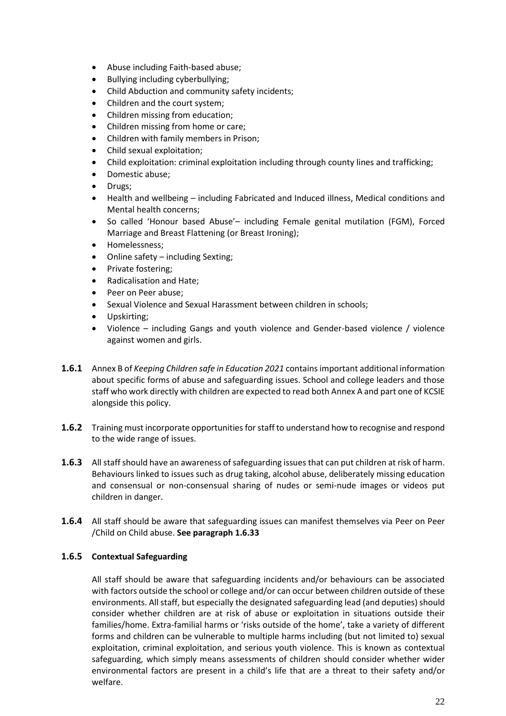- Abuse including Faith-based abuse;
- Bullying including cyberbullying;
- Child Abduction and community safety incidents;
- Children and the court system;
- Children missing from education;
- Children missing from home or care;
- Children with family members in Prison;
- Child sexual exploitation;
- Child exploitation: criminal exploitation including through county lines and trafficking;
- Domestic abuse;
- Drugs;
- Health and wellbeing including Fabricated and Induced illness, Medical conditions and Mental health concerns;
- So called 'Honour based Abuse'– including Female genital mutilation (FGM), Forced Marriage and Breast Flattening (or Breast Ironing);
- Homelessness;
- Online safety including Sexting;
- Private fostering;
- Radicalisation and Hate;
- Peer on Peer abuse;
- Sexual Violence and Sexual Harassment between children in schools;
- Upskirting;
- Violence including Gangs and youth violence and Gender-based violence / violence against women and girls.
- **1.6.1** Annex B of *Keeping Children safe in Education 2021* contains important additional information about specific forms of abuse and safeguarding issues. School and college leaders and those staff who work directly with children are expected to read both Annex A and part one of KCSIE alongside this policy.
- **1.6.2** Training must incorporate opportunities for staff to understand how to recognise and respond to the wide range of issues.
- **1.6.3** All staff should have an awareness of safeguarding issues that can put children at risk of harm. Behaviours linked to issues such as drug taking, alcohol abuse, deliberately missing education and consensual or non-consensual sharing of nudes or semi-nude images or videos put children in danger.
- **1.6.4** All staff should be aware that safeguarding issues can manifest themselves via Peer on Peer /Child on Child abuse. **See paragraph 1.6.33**

### **1.6.5 Contextual Safeguarding**

All staff should be aware that safeguarding incidents and/or behaviours can be associated with factors outside the school or college and/or can occur between children outside of these environments. All staff, but especially the designated safeguarding lead (and deputies) should consider whether children are at risk of abuse or exploitation in situations outside their families/home. Extra-familial harms or 'risks outside of the home', take a variety of different forms and children can be vulnerable to multiple harms including (but not limited to) sexual exploitation, criminal exploitation, and serious youth violence. This is known as contextual safeguarding, which simply means assessments of children should consider whether wider environmental factors are present in a child's life that are a threat to their safety and/or welfare.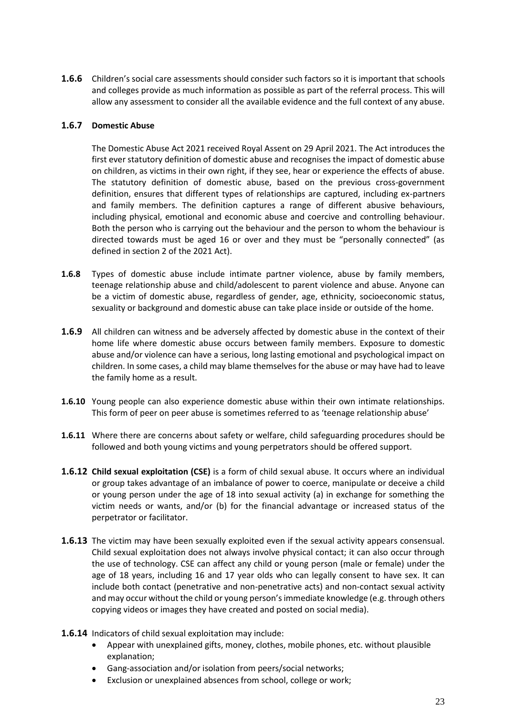**1.6.6** Children's social care assessments should consider such factors so it is important that schools and colleges provide as much information as possible as part of the referral process. This will allow any assessment to consider all the available evidence and the full context of any abuse.

# **1.6.7 Domestic Abuse**

The Domestic Abuse Act 2021 received Royal Assent on 29 April 2021. The Act introduces the first ever statutory definition of domestic abuse and recognises the impact of domestic abuse on children, as victims in their own right, if they see, hear or experience the effects of abuse. The statutory definition of domestic abuse, based on the previous cross-government definition, ensures that different types of relationships are captured, including ex-partners and family members. The definition captures a range of different abusive behaviours, including physical, emotional and economic abuse and coercive and controlling behaviour. Both the person who is carrying out the behaviour and the person to whom the behaviour is directed towards must be aged 16 or over and they must be "personally connected" (as defined in section 2 of the 2021 Act).

- **1.6.8** Types of domestic abuse include intimate partner violence, abuse by family members, teenage relationship abuse and child/adolescent to parent violence and abuse. Anyone can be a victim of domestic abuse, regardless of gender, age, ethnicity, socioeconomic status, sexuality or background and domestic abuse can take place inside or outside of the home.
- **1.6.9** All children can witness and be adversely affected by domestic abuse in the context of their home life where domestic abuse occurs between family members. Exposure to domestic abuse and/or violence can have a serious, long lasting emotional and psychological impact on children. In some cases, a child may blame themselves for the abuse or may have had to leave the family home as a result.
- **1.6.10** Young people can also experience domestic abuse within their own intimate relationships. This form of peer on peer abuse is sometimes referred to as 'teenage relationship abuse'
- **1.6.11** Where there are concerns about safety or welfare, child safeguarding procedures should be followed and both young victims and young perpetrators should be offered support.
- **1.6.12 Child sexual exploitation (CSE)** is a form of child sexual abuse. It occurs where an individual or group takes advantage of an imbalance of power to coerce, manipulate or deceive a child or young person under the age of 18 into sexual activity (a) in exchange for something the victim needs or wants, and/or (b) for the financial advantage or increased status of the perpetrator or facilitator.
- **1.6.13** The victim may have been sexually exploited even if the sexual activity appears consensual. Child sexual exploitation does not always involve physical contact; it can also occur through the use of technology. CSE can affect any child or young person (male or female) under the age of 18 years, including 16 and 17 year olds who can legally consent to have sex. It can include both contact (penetrative and non-penetrative acts) and non-contact sexual activity and may occur without the child or young person's immediate knowledge (e.g. through others copying videos or images they have created and posted on social media).
- **1.6.14** Indicators of child sexual exploitation may include:
	- Appear with unexplained gifts, money, clothes, mobile phones, etc. without plausible explanation;
	- Gang-association and/or isolation from peers/social networks;
	- Exclusion or unexplained absences from school, college or work;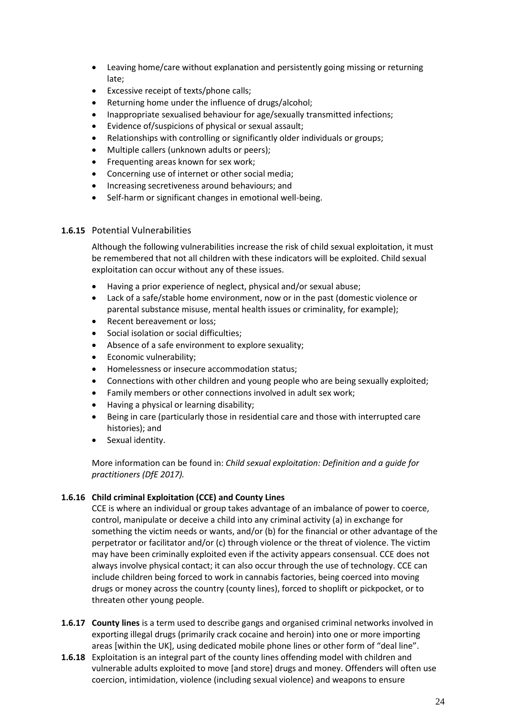- Leaving home/care without explanation and persistently going missing or returning late;
- Excessive receipt of texts/phone calls;
- Returning home under the influence of drugs/alcohol;
- Inappropriate sexualised behaviour for age/sexually transmitted infections;
- Evidence of/suspicions of physical or sexual assault;
- Relationships with controlling or significantly older individuals or groups;
- Multiple callers (unknown adults or peers);
- Frequenting areas known for sex work;
- Concerning use of internet or other social media;
- Increasing secretiveness around behaviours; and
- Self-harm or significant changes in emotional well-being.

# **1.6.15** Potential Vulnerabilities

Although the following vulnerabilities increase the risk of child sexual exploitation, it must be remembered that not all children with these indicators will be exploited. Child sexual exploitation can occur without any of these issues.

- Having a prior experience of neglect, physical and/or sexual abuse;
- Lack of a safe/stable home environment, now or in the past (domestic violence or parental substance misuse, mental health issues or criminality, for example);
- Recent bereavement or loss;
- Social isolation or social difficulties;
- Absence of a safe environment to explore sexuality;
- Economic vulnerability;
- Homelessness or insecure accommodation status;
- Connections with other children and young people who are being sexually exploited;
- Family members or other connections involved in adult sex work;
- Having a physical or learning disability;
- Being in care (particularly those in residential care and those with interrupted care histories); and
- Sexual identity.

More information can be found in: *Child sexual exploitation: Definition and a guide for practitioners (DfE 2017).*

# **1.6.16 Child criminal Exploitation (CCE) and County Lines**

CCE is where an individual or group takes advantage of an imbalance of power to coerce, control, manipulate or deceive a child into any criminal activity (a) in exchange for something the victim needs or wants, and/or (b) for the financial or other advantage of the perpetrator or facilitator and/or (c) through violence or the threat of violence. The victim may have been criminally exploited even if the activity appears consensual. CCE does not always involve physical contact; it can also occur through the use of technology. CCE can include children being forced to work in cannabis factories, being coerced into moving drugs or money across the country (county lines), forced to shoplift or pickpocket, or to threaten other young people.

- **1.6.17 County lines** is a term used to describe gangs and organised criminal networks involved in exporting illegal drugs (primarily crack cocaine and heroin) into one or more importing areas [within the UK], using dedicated mobile phone lines or other form of "deal line".
- **1.6.18** Exploitation is an integral part of the county lines offending model with children and vulnerable adults exploited to move [and store] drugs and money. Offenders will often use coercion, intimidation, violence (including sexual violence) and weapons to ensure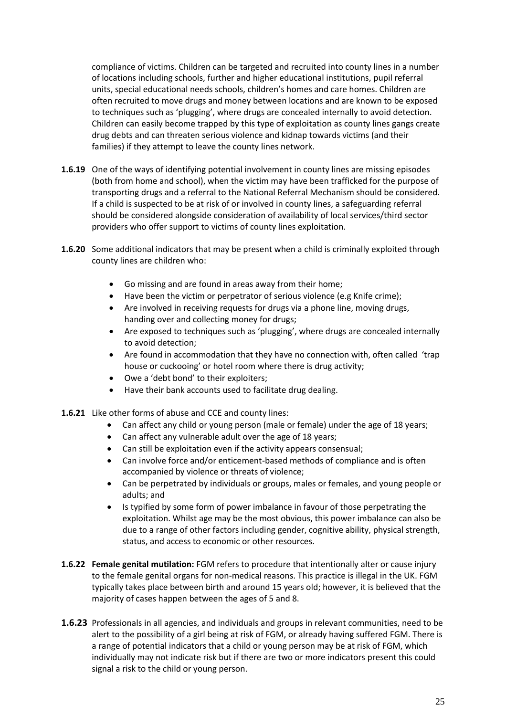compliance of victims. Children can be targeted and recruited into county lines in a number of locations including schools, further and higher educational institutions, pupil referral units, special educational needs schools, children's homes and care homes. Children are often recruited to move drugs and money between locations and are known to be exposed to techniques such as 'plugging', where drugs are concealed internally to avoid detection. Children can easily become trapped by this type of exploitation as county lines gangs create drug debts and can threaten serious violence and kidnap towards victims (and their families) if they attempt to leave the county lines network.

- **1.6.19** One of the ways of identifying potential involvement in county lines are missing episodes (both from home and school), when the victim may have been trafficked for the purpose of transporting drugs and a referral to the National Referral Mechanism should be considered. If a child is suspected to be at risk of or involved in county lines, a safeguarding referral should be considered alongside consideration of availability of local services/third sector providers who offer support to victims of county lines exploitation.
- **1.6.20** Some additional indicators that may be present when a child is criminally exploited through county lines are children who:
	- Go missing and are found in areas away from their home;
	- Have been the victim or perpetrator of serious violence (e.g Knife crime);
	- Are involved in receiving requests for drugs via a phone line, moving drugs, handing over and collecting money for drugs;
	- Are exposed to techniques such as 'plugging', where drugs are concealed internally to avoid detection;
	- Are found in accommodation that they have no connection with, often called 'trap house or cuckooing' or hotel room where there is drug activity;
	- Owe a 'debt bond' to their exploiters;
	- Have their bank accounts used to facilitate drug dealing.
- **1.6.21** Like other forms of abuse and CCE and county lines:
	- Can affect any child or young person (male or female) under the age of 18 years;
	- Can affect any vulnerable adult over the age of 18 years;
	- Can still be exploitation even if the activity appears consensual;
	- Can involve force and/or enticement-based methods of compliance and is often accompanied by violence or threats of violence;
	- Can be perpetrated by individuals or groups, males or females, and young people or adults; and
	- Is typified by some form of power imbalance in favour of those perpetrating the exploitation. Whilst age may be the most obvious, this power imbalance can also be due to a range of other factors including gender, cognitive ability, physical strength, status, and access to economic or other resources.
- **1.6.22 Female genital mutilation:** FGM refers to procedure that intentionally alter or cause injury to the female genital organs for non-medical reasons. This practice is illegal in the UK. FGM typically takes place between birth and around 15 years old; however, it is believed that the majority of cases happen between the ages of 5 and 8.
- **1.6.23** Professionals in all agencies, and individuals and groups in relevant communities, need to be alert to the possibility of a girl being at risk of FGM, or already having suffered FGM. There is a range of potential indicators that a child or young person may be at risk of FGM, which individually may not indicate risk but if there are two or more indicators present this could signal a risk to the child or young person.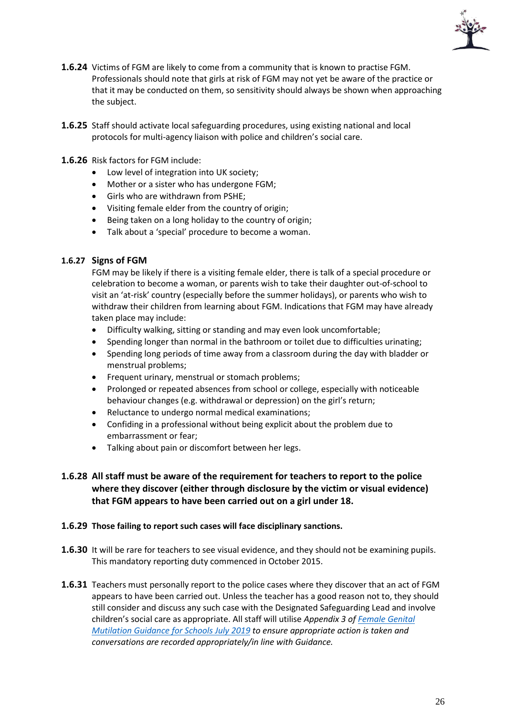

- **1.6.24** Victims of FGM are likely to come from a community that is known to practise FGM. Professionals should note that girls at risk of FGM may not yet be aware of the practice or that it may be conducted on them, so sensitivity should always be shown when approaching the subject.
- **1.6.25** Staff should activate local safeguarding procedures, using existing national and local protocols for multi-agency liaison with police and children's social care.
- **1.6.26** Risk factors for FGM include:
	- Low level of integration into UK society;
	- Mother or a sister who has undergone FGM;
	- Girls who are withdrawn from PSHE;
	- Visiting female elder from the country of origin;
	- Being taken on a long holiday to the country of origin;
	- Talk about a 'special' procedure to become a woman.

# **1.6.27 Signs of FGM**

FGM may be likely if there is a visiting female elder, there is talk of a special procedure or celebration to become a woman, or parents wish to take their daughter out-of-school to visit an 'at-risk' country (especially before the summer holidays), or parents who wish to withdraw their children from learning about FGM. Indications that FGM may have already taken place may include:

- Difficulty walking, sitting or standing and may even look uncomfortable;
- Spending longer than normal in the bathroom or toilet due to difficulties urinating;
- Spending long periods of time away from a classroom during the day with bladder or menstrual problems;
- Frequent urinary, menstrual or stomach problems;
- Prolonged or repeated absences from school or college, especially with noticeable behaviour changes (e.g. withdrawal or depression) on the girl's return;
- Reluctance to undergo normal medical examinations;
- Confiding in a professional without being explicit about the problem due to embarrassment or fear;
- Talking about pain or discomfort between her legs.

# **1.6.28 All staff must be aware of the requirement for teachers to report to the police where they discover (either through disclosure by the victim or visual evidence) that FGM appears to have been carried out on a girl under 18.**

### **1.6.29 Those failing to report such cases will face disciplinary sanctions.**

- **1.6.30** It will be rare for teachers to see visual evidence, and they should not be examining pupils. This mandatory reporting duty commenced in October 2015.
- **1.6.31** Teachers must personally report to the police cases where they discover that an act of FGM appears to have been carried out. Unless the teacher has a good reason not to, they should still consider and discuss any such case with the Designated Safeguarding Lead and involve children's social care as appropriate. All staff will utilise *Appendix 3 o[f Female Genital](http://nationalfgmcentre.org.uk/wp-content/uploads/2019/06/FGM-Schools-Guidance-National-FGM-Centre.pdf)  [Mutilation Guidance for Schools July 2019](http://nationalfgmcentre.org.uk/wp-content/uploads/2019/06/FGM-Schools-Guidance-National-FGM-Centre.pdf) to ensure appropriate action is taken and conversations are recorded appropriately/in line with Guidance.*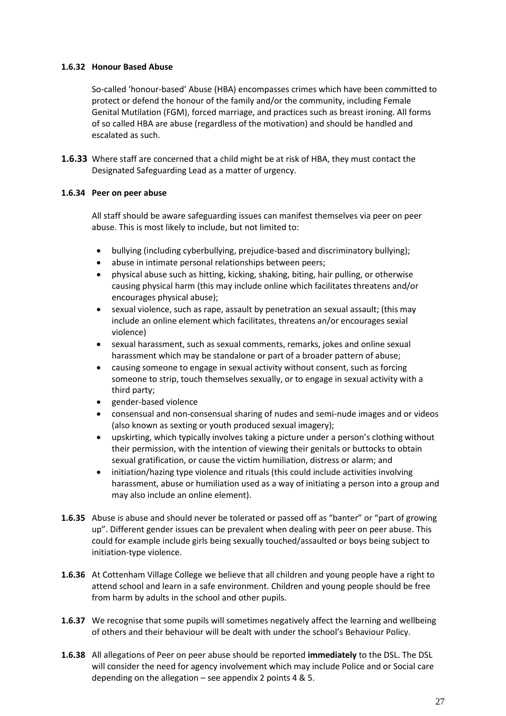# **1.6.32 Honour Based Abuse**

So-called 'honour-based' Abuse (HBA) encompasses crimes which have been committed to protect or defend the honour of the family and/or the community, including Female Genital Mutilation (FGM), forced marriage, and practices such as breast ironing. All forms of so called HBA are abuse (regardless of the motivation) and should be handled and escalated as such.

**1.6.33** Where staff are concerned that a child might be at risk of HBA, they must contact the Designated Safeguarding Lead as a matter of urgency.

# **1.6.34 Peer on peer abuse**

All staff should be aware safeguarding issues can manifest themselves via peer on peer abuse. This is most likely to include, but not limited to:

- bullying (including cyberbullying, prejudice-based and discriminatory bullying);
- abuse in intimate personal relationships between peers;
- physical abuse such as hitting, kicking, shaking, biting, hair pulling, or otherwise causing physical harm (this may include online which facilitates threatens and/or encourages physical abuse);
- sexual violence, such as rape, assault by penetration an sexual assault; (this may include an online element which facilitates, threatens an/or encourages sexial violence)
- sexual harassment, such as sexual comments, remarks, jokes and online sexual harassment which may be standalone or part of a broader pattern of abuse;
- causing someone to engage in sexual activity without consent, such as forcing someone to strip, touch themselves sexually, or to engage in sexual activity with a third party;
- gender-based violence
- consensual and non-consensual sharing of nudes and semi-nude images and or videos (also known as sexting or youth produced sexual imagery);
- upskirting, which typically involves taking a picture under a person's clothing without their permission, with the intention of viewing their genitals or buttocks to obtain sexual gratification, or cause the victim humiliation, distress or alarm; and
- initiation/hazing type violence and rituals (this could include activities involving harassment, abuse or humiliation used as a way of initiating a person into a group and may also include an online element).
- **1.6.35** Abuse is abuse and should never be tolerated or passed off as "banter" or "part of growing up". Different gender issues can be prevalent when dealing with peer on peer abuse. This could for example include girls being sexually touched/assaulted or boys being subject to initiation-type violence.
- **1.6.36** At Cottenham Village College we believe that all children and young people have a right to attend school and learn in a safe environment. Children and young people should be free from harm by adults in the school and other pupils.
- **1.6.37** We recognise that some pupils will sometimes negatively affect the learning and wellbeing of others and their behaviour will be dealt with under the school's Behaviour Policy.
- **1.6.38** All allegations of Peer on peer abuse should be reported **immediately** to the DSL. The DSL will consider the need for agency involvement which may include Police and or Social care depending on the allegation – see appendix 2 points 4 & 5.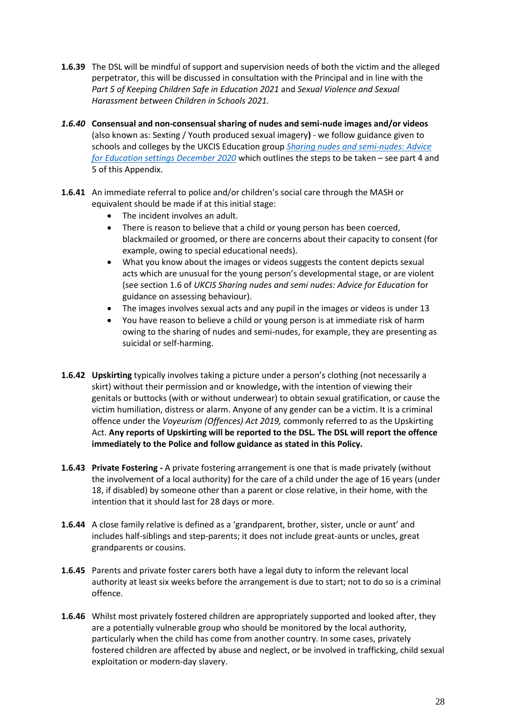- **1.6.39** The DSL will be mindful of support and supervision needs of both the victim and the alleged perpetrator, this will be discussed in consultation with the Principal and in line with the *Part 5 of Keeping Children Safe in Education 2021* and *Sexual Violence and Sexual Harassment between Children in Schools 2021.*
- *1.6.40* **Consensual and non-consensual sharing of nudes and semi-nude images and/or videos** (also known as: Sexting / Youth produced sexual imagery**)** - we follow guidance given to schools and colleges by the UKCIS Education group *[Sharing nudes and semi-nudes: Advice](https://www.gov.uk/government/publications/sharing-nudes-and-semi-nudes-advice-for-education-settings-working-with-children-and-young-people/sharing-nudes-and-semi-nudes-advice-for-education-settings-working-with-children-and-young-people)  [for Education settings December 2020](https://www.gov.uk/government/publications/sharing-nudes-and-semi-nudes-advice-for-education-settings-working-with-children-and-young-people/sharing-nudes-and-semi-nudes-advice-for-education-settings-working-with-children-and-young-people)* which outlines the steps to be taken – see part 4 and 5 of this Appendix.
- **1.6.41** An immediate referral to police and/or children's social care through the MASH or equivalent should be made if at this initial stage:
	- The incident involves an adult.
	- There is reason to believe that a child or young person has been coerced, blackmailed or groomed, or there are concerns about their capacity to consent (for example, owing to special educational needs).
	- What you know about the images or videos suggests the content depicts sexual acts which are unusual for the young person's developmental stage, or are violent (see section 1.6 of *UKCIS Sharing nudes and semi nudes: Advice for Education* for guidance on assessing behaviour).
	- The images involves sexual acts and any pupil in the images or videos is under 13
	- You have reason to believe a child or young person is at immediate risk of harm owing to the sharing of nudes and semi-nudes, for example, they are presenting as suicidal or self-harming.
- **1.6.42 Upskirting** typically involves taking a picture under a person's clothing (not necessarily a skirt) without their permission and or knowledge**,** with the intention of viewing their genitals or buttocks (with or without underwear) to obtain sexual gratification, or cause the victim humiliation, distress or alarm. Anyone of any gender can be a victim. It is a criminal offence under the *Voyeurism (Offences) Act 2019,* commonly referred to as the Upskirting Act. **Any reports of Upskirting will be reported to the DSL. The DSL will report the offence immediately to the Police and follow guidance as stated in this Policy.**
- **1.6.43 Private Fostering -** A private fostering arrangement is one that is made privately (without the involvement of a local authority) for the care of a child under the age of 16 years (under 18, if disabled) by someone other than a parent or close relative, in their home, with the intention that it should last for 28 days or more.
- **1.6.44** A close family relative is defined as a 'grandparent, brother, sister, uncle or aunt' and includes half-siblings and step-parents; it does not include great-aunts or uncles, great grandparents or cousins.
- **1.6.45** Parents and private foster carers both have a legal duty to inform the relevant local authority at least six weeks before the arrangement is due to start; not to do so is a criminal offence.
- **1.6.46** Whilst most privately fostered children are appropriately supported and looked after, they are a potentially vulnerable group who should be monitored by the local authority, particularly when the child has come from another country. In some cases, privately fostered children are affected by abuse and neglect, or be involved in trafficking, child sexual exploitation or modern-day slavery.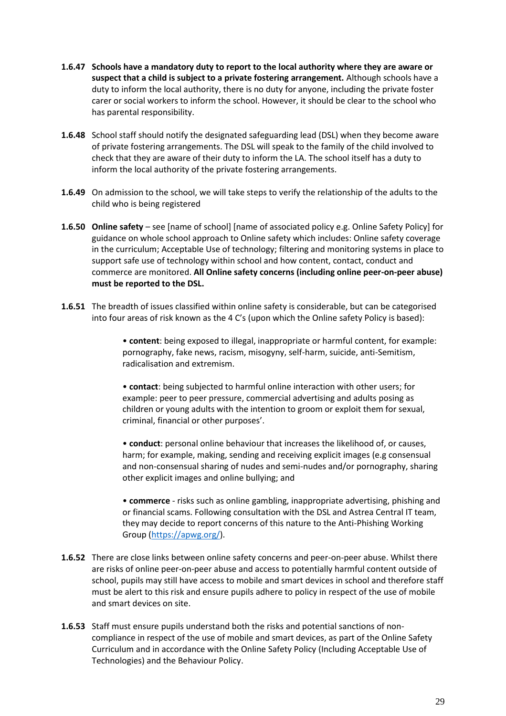- **1.6.47 Schools have a mandatory duty to report to the local authority where they are aware or suspect that a child is subject to a private fostering arrangement.** Although schools have a duty to inform the local authority, there is no duty for anyone, including the private foster carer or social workers to inform the school. However, it should be clear to the school who has parental responsibility.
- **1.6.48** School staff should notify the designated safeguarding lead (DSL) when they become aware of private fostering arrangements. The DSL will speak to the family of the child involved to check that they are aware of their duty to inform the LA. The school itself has a duty to inform the local authority of the private fostering arrangements.
- **1.6.49** On admission to the school, we will take steps to verify the relationship of the adults to the child who is being registered
- **1.6.50 Online safety** see [name of school] [name of associated policy e.g. Online Safety Policy] for guidance on whole school approach to Online safety which includes: Online safety coverage in the curriculum; Acceptable Use of technology; filtering and monitoring systems in place to support safe use of technology within school and how content, contact, conduct and commerce are monitored. **All Online safety concerns (including online peer-on-peer abuse) must be reported to the DSL.**
- **1.6.51** The breadth of issues classified within online safety is considerable, but can be categorised into four areas of risk known as the 4 C's (upon which the Online safety Policy is based):

• **content**: being exposed to illegal, inappropriate or harmful content, for example: pornography, fake news, racism, misogyny, self-harm, suicide, anti-Semitism, radicalisation and extremism.

• **contact**: being subjected to harmful online interaction with other users; for example: peer to peer pressure, commercial advertising and adults posing as children or young adults with the intention to groom or exploit them for sexual, criminal, financial or other purposes'.

• **conduct**: personal online behaviour that increases the likelihood of, or causes, harm; for example, making, sending and receiving explicit images (e.g consensual and non-consensual sharing of nudes and semi-nudes and/or pornography, sharing other explicit images and online bullying; and

• **commerce** - risks such as online gambling, inappropriate advertising, phishing and or financial scams. Following consultation with the DSL and Astrea Central IT team, they may decide to report concerns of this nature to the Anti-Phishing Working Group [\(https://apwg.org/\)](https://apwg.org/).

- **1.6.52** There are close links between online safety concerns and peer-on-peer abuse. Whilst there are risks of online peer-on-peer abuse and access to potentially harmful content outside of school, pupils may still have access to mobile and smart devices in school and therefore staff must be alert to this risk and ensure pupils adhere to policy in respect of the use of mobile and smart devices on site.
- **1.6.53** Staff must ensure pupils understand both the risks and potential sanctions of noncompliance in respect of the use of mobile and smart devices, as part of the Online Safety Curriculum and in accordance with the Online Safety Policy (Including Acceptable Use of Technologies) and the Behaviour Policy.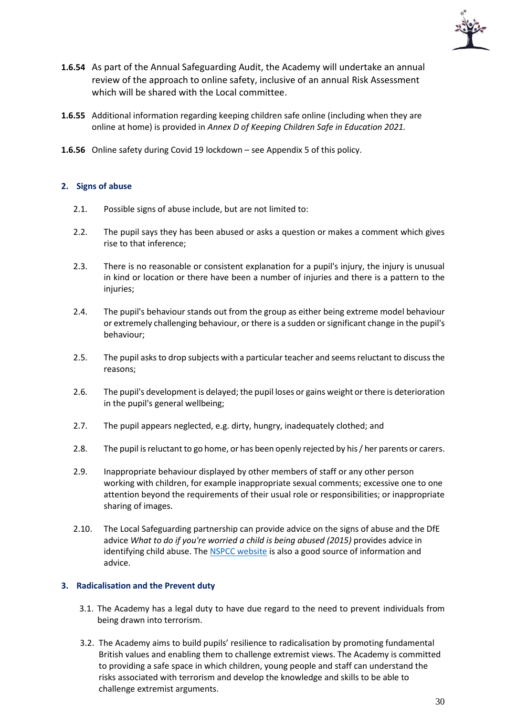

- **1.6.54** As part of the Annual Safeguarding Audit, the Academy will undertake an annual review of the approach to online safety, inclusive of an annual Risk Assessment which will be shared with the Local committee.
- **1.6.55** Additional information regarding keeping children safe online (including when they are online at home) is provided in *Annex D of Keeping Children Safe in Education 2021.*
- **1.6.56** Online safety during Covid 19 lockdown see Appendix 5 of this policy.

# **2. Signs of abuse**

- 2.1. Possible signs of abuse include, but are not limited to:
- 2.2. The pupil says they has been abused or asks a question or makes a comment which gives rise to that inference;
- 2.3. There is no reasonable or consistent explanation for a pupil's injury, the injury is unusual in kind or location or there have been a number of injuries and there is a pattern to the injuries;
- 2.4. The pupil's behaviour stands out from the group as either being extreme model behaviour or extremely challenging behaviour, or there is a sudden or significant change in the pupil's behaviour;
- 2.5. The pupil asks to drop subjects with a particular teacher and seems reluctant to discuss the reasons;
- 2.6. The pupil's development is delayed; the pupil loses or gains weight or there is deterioration in the pupil's general wellbeing;
- 2.7. The pupil appears neglected, e.g. dirty, hungry, inadequately clothed; and
- 2.8. The pupil is reluctant to go home, or has been openly rejected by his / her parents or carers.
- 2.9. Inappropriate behaviour displayed by other members of staff or any other person working with children, for example inappropriate sexual comments; excessive one to one attention beyond the requirements of their usual role or responsibilities; or inappropriate sharing of images.
- 2.10. The Local Safeguarding partnership can provide advice on the signs of abuse and the DfE advice *What to do if you're worried a child is being abused (2015)* provides advice in identifying child abuse. The [NSPCC website](https://www.nspcc.org.uk/services-and-resources/childrens-services/) is also a good source of information and advice.

# **3. Radicalisation and the Prevent duty**

- 3.1. The Academy has a legal duty to have due regard to the need to prevent individuals from being drawn into terrorism.
- 3.2. The Academy aims to build pupils' resilience to radicalisation by promoting fundamental British values and enabling them to challenge extremist views. The Academy is committed to providing a safe space in which children, young people and staff can understand the risks associated with terrorism and develop the knowledge and skills to be able to challenge extremist arguments.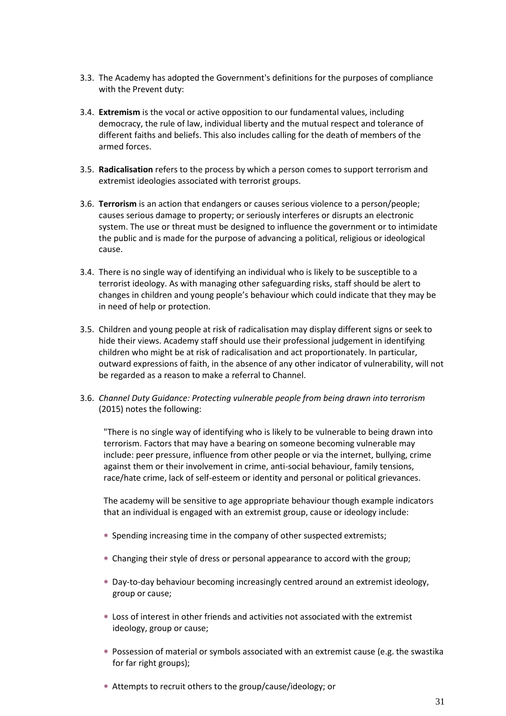- 3.3. The Academy has adopted the Government's definitions for the purposes of compliance with the Prevent duty:
- 3.4. **Extremism** is the vocal or active opposition to our fundamental values, including democracy, the rule of law, individual liberty and the mutual respect and tolerance of different faiths and beliefs. This also includes calling for the death of members of the armed forces.
- 3.5. **Radicalisation** refers to the process by which a person comes to support terrorism and extremist ideologies associated with terrorist groups.
- 3.6. **Terrorism** is an action that endangers or causes serious violence to a person/people; causes serious damage to property; or seriously interferes or disrupts an electronic system. The use or threat must be designed to influence the government or to intimidate the public and is made for the purpose of advancing a political, religious or ideological cause.
- 3.4. There is no single way of identifying an individual who is likely to be susceptible to a terrorist ideology. As with managing other safeguarding risks, staff should be alert to changes in children and young people's behaviour which could indicate that they may be in need of help or protection.
- 3.5. Children and young people at risk of radicalisation may display different signs or seek to hide their views. Academy staff should use their professional judgement in identifying children who might be at risk of radicalisation and act proportionately. In particular, outward expressions of faith, in the absence of any other indicator of vulnerability, will not be regarded as a reason to make a referral to Channel.
- 3.6. *Channel Duty Guidance: Protecting vulnerable people from being drawn into terrorism* (2015) notes the following:

"There is no single way of identifying who is likely to be vulnerable to being drawn into terrorism. Factors that may have a bearing on someone becoming vulnerable may include: peer pressure, influence from other people or via the internet, bullying, crime against them or their involvement in crime, anti-social behaviour, family tensions, race/hate crime, lack of self-esteem or identity and personal or political grievances.

The academy will be sensitive to age appropriate behaviour though example indicators that an individual is engaged with an extremist group, cause or ideology include:

- Spending increasing time in the company of other suspected extremists;
- Changing their style of dress or personal appearance to accord with the group;
- Day-to-day behaviour becoming increasingly centred around an extremist ideology, group or cause;
- Loss of interest in other friends and activities not associated with the extremist ideology, group or cause;
- Possession of material or symbols associated with an extremist cause (e.g. the swastika for far right groups);
- Attempts to recruit others to the group/cause/ideology; or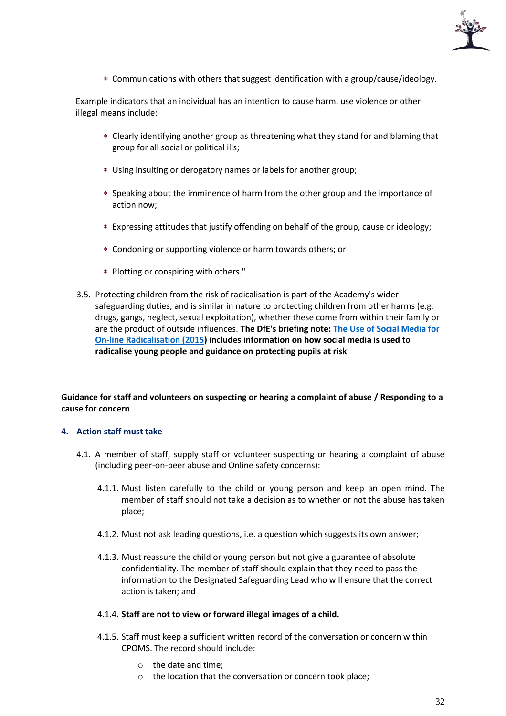<span id="page-33-0"></span>

Communications with others that suggest identification with a group/cause/ideology.

Example indicators that an individual has an intention to cause harm, use violence or other illegal means include:

- Clearly identifying another group as threatening what they stand for and blaming that group for all social or political ills;
- Using insulting or derogatory names or labels for another group;
- Speaking about the imminence of harm from the other group and the importance of action now;
- Expressing attitudes that justify offending on behalf of the group, cause or ideology;
- Condoning or supporting violence or harm towards others; or
- Plotting or conspiring with others."
- 3.5. Protecting children from the risk of radicalisation is part of the Academy's wider safeguarding duties, and is similar in nature to protecting children from other harms (e.g. drugs, gangs, neglect, sexual exploitation), whether these come from within their family or are the product of outside influences. **The DfE's briefing note: [The Use of Social Media for](https://www.gov.uk/government/publications/the-use-of-social-media-for-online-radicalisation)  [On-line Radicalisation \(2015\)](https://www.gov.uk/government/publications/the-use-of-social-media-for-online-radicalisation) includes information on how social media is used to radicalise young people and guidance on protecting pupils at risk**

# **Guidance for staff and volunteers on suspecting or hearing a complaint of abuse / Responding to a cause for concern**

#### **4. Action staff must take**

- 4.1. A member of staff, supply staff or volunteer suspecting or hearing a complaint of abuse (including peer-on-peer abuse and Online safety concerns):
	- 4.1.1. Must listen carefully to the child or young person and keep an open mind. The member of staff should not take a decision as to whether or not the abuse has taken place;
	- 4.1.2. Must not ask leading questions, i.e. a question which suggests its own answer;
	- 4.1.3. Must reassure the child or young person but not give a guarantee of absolute confidentiality. The member of staff should explain that they need to pass the information to the Designated Safeguarding Lead who will ensure that the correct action is taken; and

#### 4.1.4. **Staff are not to view or forward illegal images of a child.**

- 4.1.5. Staff must keep a sufficient written record of the conversation or concern within CPOMS. The record should include:
	- o the date and time;
	- o the location that the conversation or concern took place;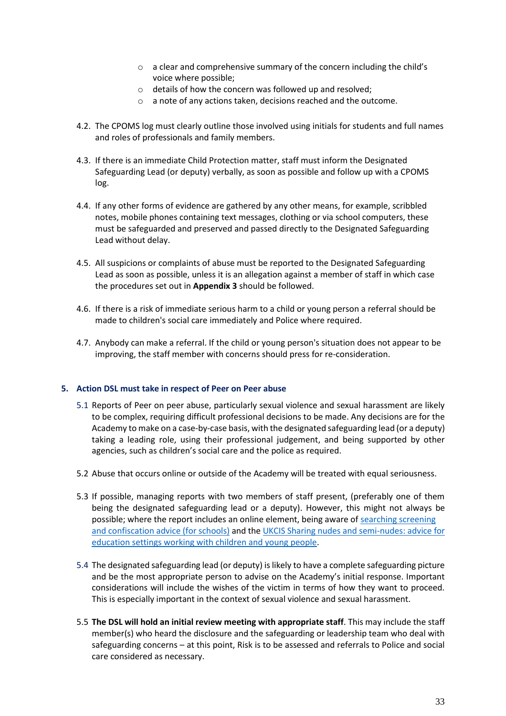- o a clear and comprehensive summary of the concern including the child's voice where possible;
- o details of how the concern was followed up and resolved;
- o a note of any actions taken, decisions reached and the outcome.
- 4.2. The CPOMS log must clearly outline those involved using initials for students and full names and roles of professionals and family members.
- 4.3. If there is an immediate Child Protection matter, staff must inform the Designated Safeguarding Lead (or deputy) verbally, as soon as possible and follow up with a CPOMS log.
- 4.4. If any other forms of evidence are gathered by any other means, for example, scribbled notes, mobile phones containing text messages, clothing or via school computers, these must be safeguarded and preserved and passed directly to the Designated Safeguarding Lead without delay.
- 4.5. All suspicions or complaints of abuse must be reported to the Designated Safeguarding Lead as soon as possible, unless it is an allegation against a member of staff in which case the procedures set out in **[Appendix 3](#page-33-0)** should be followed.
- 4.6. If there is a risk of immediate serious harm to a child or young person a referral should be made to children's social care immediately and Police where required.
- 4.7. Anybody can make a referral. If the child or young person's situation does not appear to be improving, the staff member with concerns should press for re-consideration.

### **5. Action DSL must take in respect of Peer on Peer abuse**

- 5.1 Reports of Peer on peer abuse, particularly sexual violence and sexual harassment are likely to be complex, requiring difficult professional decisions to be made. Any decisions are for the Academy to make on a case-by-case basis, with the designated safeguarding lead (or a deputy) taking a leading role, using their professional judgement, and being supported by other agencies, such as children's social care and the police as required.
- 5.2 Abuse that occurs online or outside of the Academy will be treated with equal seriousness.
- 5.3 If possible, managing reports with two members of staff present, (preferably one of them being the designated safeguarding lead or a deputy). However, this might not always be possible; where the report includes an online element, being aware of [searching screening](https://assets.publishing.service.gov.uk/government/uploads/system/uploads/attachment_data/file/674416/Searching_screening_and_confiscation.pdf)  [and confiscation advice \(for schools\)](https://assets.publishing.service.gov.uk/government/uploads/system/uploads/attachment_data/file/674416/Searching_screening_and_confiscation.pdf) and the [UKCIS Sharing nudes and semi-nudes: advice for](https://www.gov.uk/government/publications/sharing-nudes-and-semi-nudes-advice-for-education-settings-working-with-children-and-young-people/sharing-nudes-and-semi-nudes-advice-for-education-settings-working-with-children-and-young-people)  [education settings working with children and young people.](https://www.gov.uk/government/publications/sharing-nudes-and-semi-nudes-advice-for-education-settings-working-with-children-and-young-people/sharing-nudes-and-semi-nudes-advice-for-education-settings-working-with-children-and-young-people)
- 5.4 The designated safeguarding lead (or deputy) is likely to have a complete safeguarding picture and be the most appropriate person to advise on the Academy's initial response. Important considerations will include the wishes of the victim in terms of how they want to proceed. This is especially important in the context of sexual violence and sexual harassment.
- 5.5 **The DSL will hold an initial review meeting with appropriate staff**. This may include the staff member(s) who heard the disclosure and the safeguarding or leadership team who deal with safeguarding concerns – at this point, Risk is to be assessed and referrals to Police and social care considered as necessary.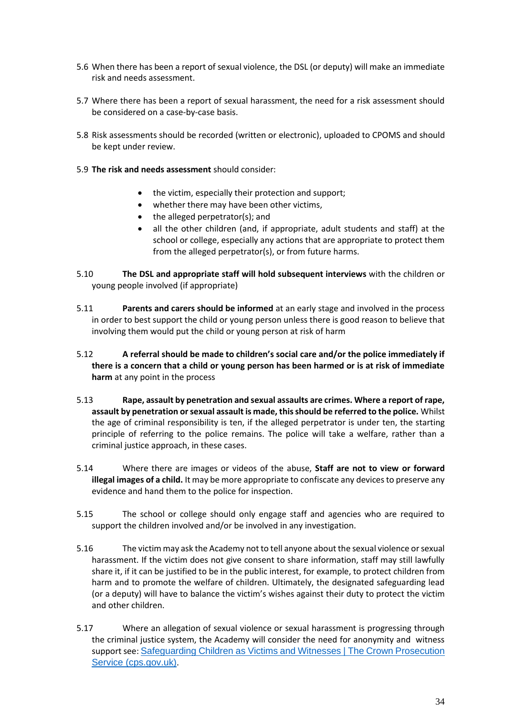- 5.6 When there has been a report of sexual violence, the DSL (or deputy) will make an immediate risk and needs assessment.
- 5.7 Where there has been a report of sexual harassment, the need for a risk assessment should be considered on a case-by-case basis.
- 5.8 Risk assessments should be recorded (written or electronic), uploaded to CPOMS and should be kept under review.
- 5.9 **The risk and needs assessment** should consider:
	- the victim, especially their protection and support;
	- whether there may have been other victims,
	- the alleged perpetrator(s); and
	- all the other children (and, if appropriate, adult students and staff) at the school or college, especially any actions that are appropriate to protect them from the alleged perpetrator(s), or from future harms.
- 5.10 **The DSL and appropriate staff will hold subsequent interviews** with the children or young people involved (if appropriate)
- 5.11 **Parents and carers should be informed** at an early stage and involved in the process in order to best support the child or young person unless there is good reason to believe that involving them would put the child or young person at risk of harm
- 5.12 **A referral should be made to children's social care and/or the police immediately if there is a concern that a child or young person has been harmed or is at risk of immediate harm** at any point in the process
- 5.13 **Rape, assault by penetration and sexual assaults are crimes. Where a report of rape, assault by penetration or sexual assault is made, this should be referred to the police.** Whilst the age of criminal responsibility is ten, if the alleged perpetrator is under ten, the starting principle of referring to the police remains. The police will take a welfare, rather than a criminal justice approach, in these cases.
- 5.14 Where there are images or videos of the abuse, **Staff are not to view or forward illegal images of a child.** It may be more appropriate to confiscate any devices to preserve any evidence and hand them to the police for inspection.
- 5.15 The school or college should only engage staff and agencies who are required to support the children involved and/or be involved in any investigation.
- 5.16 The victim may ask the Academy not to tell anyone about the sexual violence or sexual harassment. If the victim does not give consent to share information, staff may still lawfully share it, if it can be justified to be in the public interest, for example, to protect children from harm and to promote the welfare of children. Ultimately, the designated safeguarding lead (or a deputy) will have to balance the victim's wishes against their duty to protect the victim and other children.
- 5.17 Where an allegation of sexual violence or sexual harassment is progressing through the criminal justice system, the Academy will consider the need for anonymity and witness support see: Safeguarding Children as Victims and Witnesses | The Crown Prosecution [Service \(cps.gov.uk\)](https://www.cps.gov.uk/legal-guidance/safeguarding-children-victims-and-witnesses).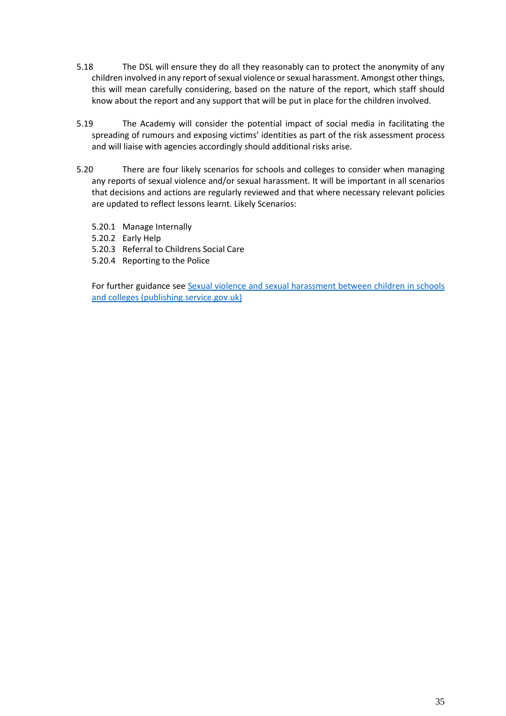- 5.18 The DSL will ensure they do all they reasonably can to protect the anonymity of any children involved in any report of sexual violence or sexual harassment. Amongst other things, this will mean carefully considering, based on the nature of the report, which staff should know about the report and any support that will be put in place for the children involved.
- 5.19 The Academy will consider the potential impact of social media in facilitating the spreading of rumours and exposing victims' identities as part of the risk assessment process and will liaise with agencies accordingly should additional risks arise.
- 5.20 There are four likely scenarios for schools and colleges to consider when managing any reports of sexual violence and/or sexual harassment. It will be important in all scenarios that decisions and actions are regularly reviewed and that where necessary relevant policies are updated to reflect lessons learnt. Likely Scenarios:
	- 5.20.1 Manage Internally
	- 5.20.2 Early Help
	- 5.20.3 Referral to Childrens Social Care
	- 5.20.4 Reporting to the Police

<span id="page-36-0"></span>For further guidance see Sexual violence and sexual harassment between children in schools [and colleges \(publishing.service.gov.uk\)](https://assets.publishing.service.gov.uk/government/uploads/system/uploads/attachment_data/file/999239/SVSH_2021.pdf)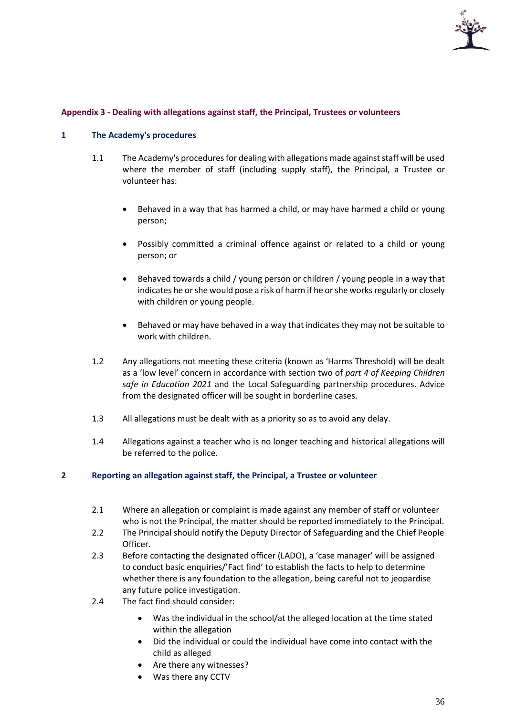

### **Appendix 3 - Dealing with allegations against staff, the Principal, Trustees or volunteers**

### **1 The Academy's procedures**

- 1.1 The Academy's procedures for dealing with allegations made against staff will be used where the member of staff (including supply staff), the Principal, a Trustee or volunteer has:
	- Behaved in a way that has harmed a child, or may have harmed a child or young person;
	- Possibly committed a criminal offence against or related to a child or young person; or
	- Behaved towards a child / young person or children / young people in a way that indicates he or she would pose a risk of harm if he or she works regularly or closely with children or young people.
	- Behaved or may have behaved in a way that indicates they may not be suitable to work with children.
- 1.2 Any allegations not meeting these criteria (known as 'Harms Threshold) will be dealt as a 'low level' concern in accordance with section two of *part 4 of Keeping Children safe in Education 2021* and the Local Safeguarding partnership procedures. Advice from the designated officer will be sought in borderline cases.
- 1.3 All allegations must be dealt with as a priority so as to avoid any delay.
- 1.4 Allegations against a teacher who is no longer teaching and historical allegations will be referred to the police.

### **2 Reporting an allegation against staff, the Principal, a Trustee or volunteer**

- 2.1 Where an allegation or complaint is made against any member of staff or volunteer who is not the Principal, the matter should be reported immediately to the Principal.
- 2.2 The Principal should notify the Deputy Director of Safeguarding and the Chief People Officer.
- 2.3 Before contacting the designated officer (LADO), a 'case manager' will be assigned to conduct basic enquiries/'Fact find' to establish the facts to help to determine whether there is any foundation to the allegation, being careful not to jeopardise any future police investigation.
- 2.4 The fact find should consider:
	- Was the individual in the school/at the alleged location at the time stated within the allegation
	- Did the individual or could the individual have come into contact with the child as alleged
	- Are there any witnesses?
	- Was there any CCTV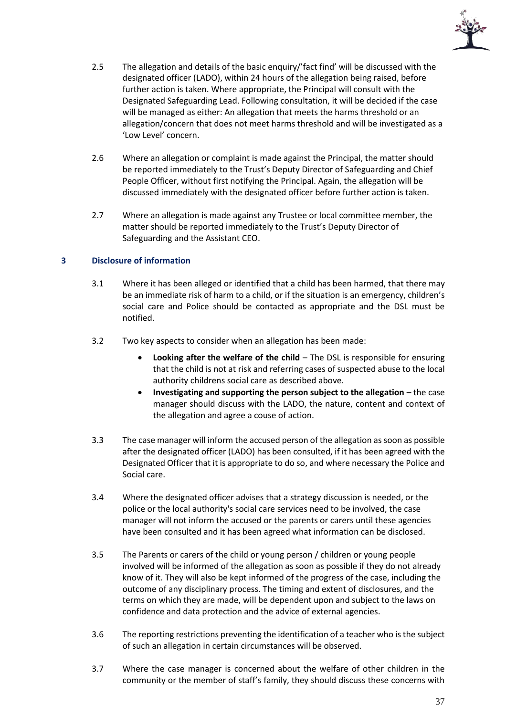

- 2.5 The allegation and details of the basic enquiry/'fact find' will be discussed with the designated officer (LADO), within 24 hours of the allegation being raised, before further action is taken. Where appropriate, the Principal will consult with the Designated Safeguarding Lead. Following consultation, it will be decided if the case will be managed as either: An allegation that meets the harms threshold or an allegation/concern that does not meet harms threshold and will be investigated as a 'Low Level' concern.
- 2.6 Where an allegation or complaint is made against the Principal, the matter should be reported immediately to the Trust's Deputy Director of Safeguarding and Chief People Officer, without first notifying the Principal. Again, the allegation will be discussed immediately with the designated officer before further action is taken.
- 2.7 Where an allegation is made against any Trustee or local committee member, the matter should be reported immediately to the Trust's Deputy Director of Safeguarding and the Assistant CEO.

# **3 Disclosure of information**

- 3.1 Where it has been alleged or identified that a child has been harmed, that there may be an immediate risk of harm to a child, or if the situation is an emergency, children's social care and Police should be contacted as appropriate and the DSL must be notified.
- 3.2 Two key aspects to consider when an allegation has been made:
	- **Looking after the welfare of the child** The DSL is responsible for ensuring that the child is not at risk and referring cases of suspected abuse to the local authority childrens social care as described above.
	- **Investigating and supporting the person subject to the allegation** the case manager should discuss with the LADO, the nature, content and context of the allegation and agree a couse of action.
- 3.3 The case manager will inform the accused person of the allegation as soon as possible after the designated officer (LADO) has been consulted, if it has been agreed with the Designated Officer that it is appropriate to do so, and where necessary the Police and Social care.
- 3.4 Where the designated officer advises that a strategy discussion is needed, or the police or the local authority's social care services need to be involved, the case manager will not inform the accused or the parents or carers until these agencies have been consulted and it has been agreed what information can be disclosed.
- 3.5 The Parents or carers of the child or young person / children or young people involved will be informed of the allegation as soon as possible if they do not already know of it. They will also be kept informed of the progress of the case, including the outcome of any disciplinary process. The timing and extent of disclosures, and the terms on which they are made, will be dependent upon and subject to the laws on confidence and data protection and the advice of external agencies.
- 3.6 The reporting restrictions preventing the identification of a teacher who is the subject of such an allegation in certain circumstances will be observed.
- 3.7 Where the case manager is concerned about the welfare of other children in the community or the member of staff's family, they should discuss these concerns with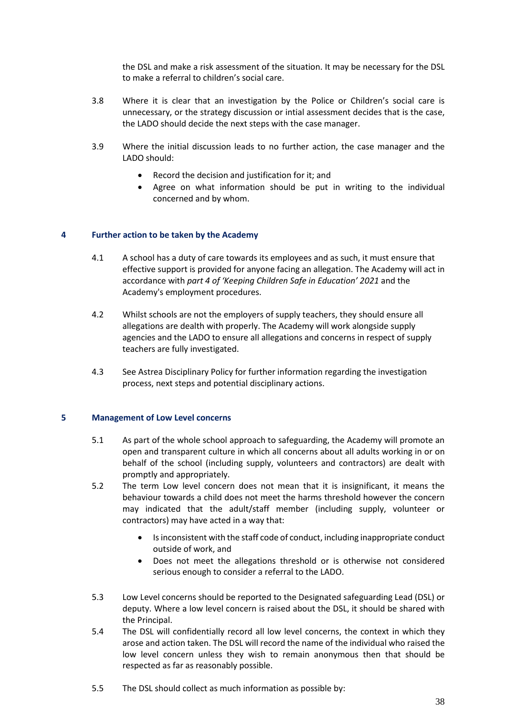the DSL and make a risk assessment of the situation. It may be necessary for the DSL to make a referral to children's social care.

- 3.8 Where it is clear that an investigation by the Police or Children's social care is unnecessary, or the strategy discussion or intial assessment decides that is the case, the LADO should decide the next steps with the case manager.
- 3.9 Where the initial discussion leads to no further action, the case manager and the LADO should:
	- Record the decision and justification for it; and
	- Agree on what information should be put in writing to the individual concerned and by whom.

# **4 Further action to be taken by the Academy**

- 4.1 A school has a duty of care towards its employees and as such, it must ensure that effective support is provided for anyone facing an allegation. The Academy will act in accordance with *part 4 of 'Keeping Children Safe in Education' 2021* and the Academy's employment procedures.
- 4.2 Whilst schools are not the employers of supply teachers, they should ensure all allegations are dealth with properly. The Academy will work alongside supply agencies and the LADO to ensure all allegations and concerns in respect of supply teachers are fully investigated.
- 4.3 See Astrea Disciplinary Policy for further information regarding the investigation process, next steps and potential disciplinary actions.

### **5 Management of Low Level concerns**

- 5.1 As part of the whole school approach to safeguarding, the Academy will promote an open and transparent culture in which all concerns about all adults working in or on behalf of the school (including supply, volunteers and contractors) are dealt with promptly and appropriately.
- 5.2 The term Low level concern does not mean that it is insignificant, it means the behaviour towards a child does not meet the harms threshold however the concern may indicated that the adult/staff member (including supply, volunteer or contractors) may have acted in a way that:
	- Is inconsistent with the staff code of conduct, including inappropriate conduct outside of work, and
	- Does not meet the allegations threshold or is otherwise not considered serious enough to consider a referral to the LADO.
- 5.3 Low Level concerns should be reported to the Designated safeguarding Lead (DSL) or deputy. Where a low level concern is raised about the DSL, it should be shared with the Principal.
- 5.4 The DSL will confidentially record all low level concerns, the context in which they arose and action taken. The DSL will record the name of the individual who raised the low level concern unless they wish to remain anonymous then that should be respected as far as reasonably possible.
- 5.5 The DSL should collect as much information as possible by: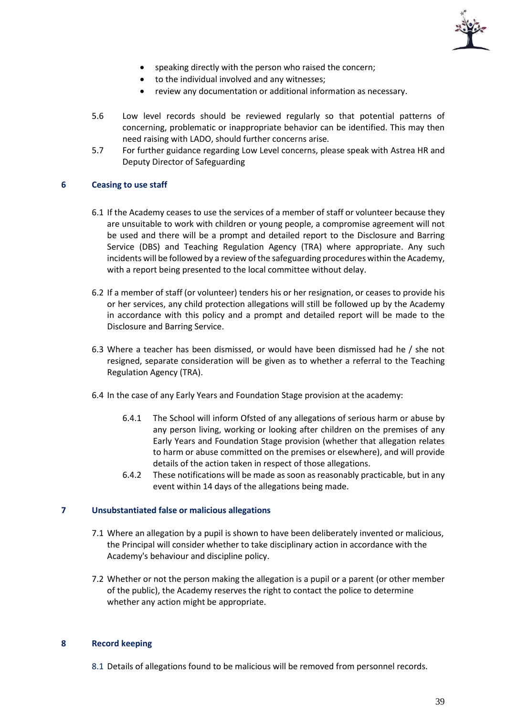

- speaking directly with the person who raised the concern;
- to the individual involved and any witnesses;
- review any documentation or additional information as necessary.
- 5.6 Low level records should be reviewed regularly so that potential patterns of concerning, problematic or inappropriate behavior can be identified. This may then need raising with LADO, should further concerns arise.
- 5.7 For further guidance regarding Low Level concerns, please speak with Astrea HR and Deputy Director of Safeguarding

### **6 Ceasing to use staff**

- 6.1 If the Academy ceases to use the services of a member of staff or volunteer because they are unsuitable to work with children or young people, a compromise agreement will not be used and there will be a prompt and detailed report to the Disclosure and Barring Service (DBS) and Teaching Regulation Agency (TRA) where appropriate. Any such incidents will be followed by a review of the safeguarding procedures within the Academy, with a report being presented to the local committee without delay.
- 6.2 If a member of staff (or volunteer) tenders his or her resignation, or ceases to provide his or her services, any child protection allegations will still be followed up by the Academy in accordance with this policy and a prompt and detailed report will be made to the Disclosure and Barring Service.
- 6.3 Where a teacher has been dismissed, or would have been dismissed had he / she not resigned, separate consideration will be given as to whether a referral to the Teaching Regulation Agency (TRA).
- 6.4 In the case of any Early Years and Foundation Stage provision at the academy:
	- 6.4.1 The School will inform Ofsted of any allegations of serious harm or abuse by any person living, working or looking after children on the premises of any Early Years and Foundation Stage provision (whether that allegation relates to harm or abuse committed on the premises or elsewhere), and will provide details of the action taken in respect of those allegations.
	- 6.4.2 These notifications will be made as soon as reasonably practicable, but in any event within 14 days of the allegations being made.

### **7 Unsubstantiated false or malicious allegations**

- 7.1 Where an allegation by a pupil is shown to have been deliberately invented or malicious, the Principal will consider whether to take disciplinary action in accordance with the Academy's behaviour and discipline policy.
- 7.2 Whether or not the person making the allegation is a pupil or a parent (or other member of the public), the Academy reserves the right to contact the police to determine whether any action might be appropriate.

#### **8 Record keeping**

8.1 Details of allegations found to be malicious will be removed from personnel records.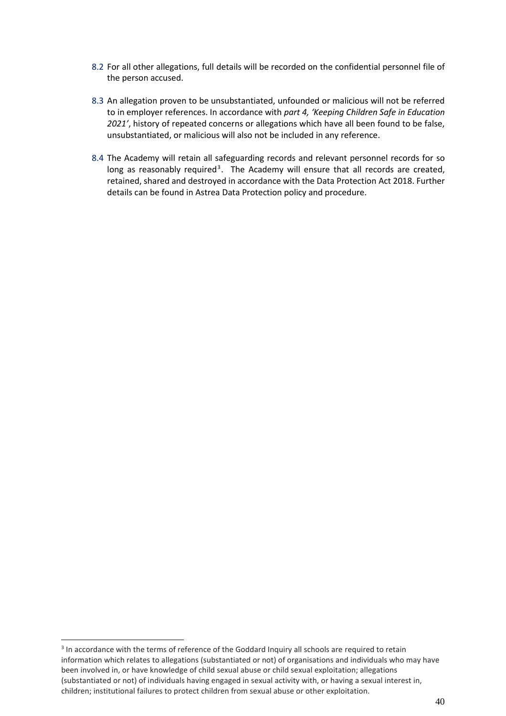- 8.2 For all other allegations, full details will be recorded on the confidential personnel file of the person accused.
- 8.3 An allegation proven to be unsubstantiated, unfounded or malicious will not be referred to in employer references. In accordance with *part 4, 'Keeping Children Safe in Education 2021'*, history of repeated concerns or allegations which have all been found to be false, unsubstantiated, or malicious will also not be included in any reference.
- 8.4 The Academy will retain all safeguarding records and relevant personnel records for so long as reasonably required<sup>3</sup>. The Academy will ensure that all records are created, retained, shared and destroyed in accordance with the Data Protection Act 2018. Further details can be found in Astrea Data Protection policy and procedure.

 $3$  In accordance with the terms of reference of the Goddard Inquiry all schools are required to retain information which relates to allegations (substantiated or not) of organisations and individuals who may have been involved in, or have knowledge of child sexual abuse or child sexual exploitation; allegations (substantiated or not) of individuals having engaged in sexual activity with, or having a sexual interest in, children; institutional failures to protect children from sexual abuse or other exploitation.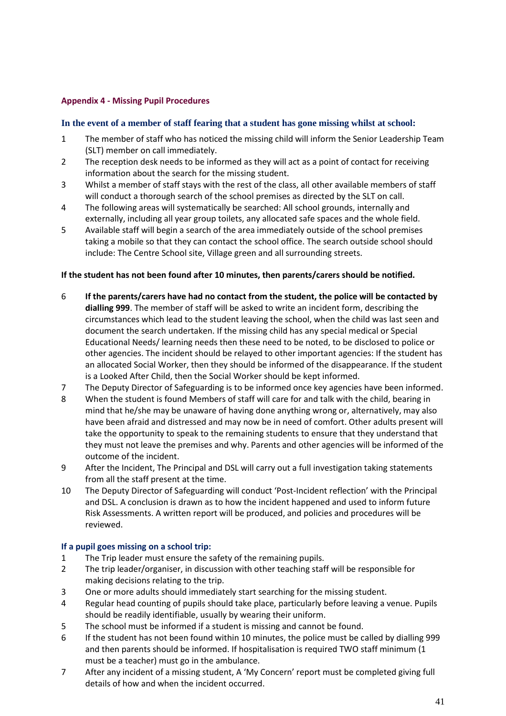# **Appendix 4 - Missing Pupil Procedures**

### **In the event of a member of staff fearing that a student has gone missing whilst at school:**

- 1 The member of staff who has noticed the missing child will inform the Senior Leadership Team (SLT) member on call immediately.
- 2 The reception desk needs to be informed as they will act as a point of contact for receiving information about the search for the missing student.
- 3 Whilst a member of staff stays with the rest of the class, all other available members of staff will conduct a thorough search of the school premises as directed by the SLT on call.
- 4 The following areas will systematically be searched: All school grounds, internally and externally, including all year group toilets, any allocated safe spaces and the whole field.
- 5 Available staff will begin a search of the area immediately outside of the school premises taking a mobile so that they can contact the school office. The search outside school should include: The Centre School site, Village green and all surrounding streets.

### **If the student has not been found after 10 minutes, then parents/carers should be notified.**

- 6 **If the parents/carers have had no contact from the student, the police will be contacted by dialling 999**. The member of staff will be asked to write an incident form, describing the circumstances which lead to the student leaving the school, when the child was last seen and document the search undertaken. If the missing child has any special medical or Special Educational Needs/ learning needs then these need to be noted, to be disclosed to police or other agencies. The incident should be relayed to other important agencies: If the student has an allocated Social Worker, then they should be informed of the disappearance. If the student is a Looked After Child, then the Social Worker should be kept informed.
- 7 The Deputy Director of Safeguarding is to be informed once key agencies have been informed.
- 8 When the student is found Members of staff will care for and talk with the child, bearing in mind that he/she may be unaware of having done anything wrong or, alternatively, may also have been afraid and distressed and may now be in need of comfort. Other adults present will take the opportunity to speak to the remaining students to ensure that they understand that they must not leave the premises and why. Parents and other agencies will be informed of the outcome of the incident.
- 9 After the Incident, The Principal and DSL will carry out a full investigation taking statements from all the staff present at the time.
- 10 The Deputy Director of Safeguarding will conduct 'Post-Incident reflection' with the Principal and DSL. A conclusion is drawn as to how the incident happened and used to inform future Risk Assessments. A written report will be produced, and policies and procedures will be reviewed.

### **If a pupil goes missing on a school trip:**

- 1 The Trip leader must ensure the safety of the remaining pupils.
- 2 The trip leader/organiser, in discussion with other teaching staff will be responsible for making decisions relating to the trip.
- 3 One or more adults should immediately start searching for the missing student.
- 4 Regular head counting of pupils should take place, particularly before leaving a venue. Pupils should be readily identifiable, usually by wearing their uniform.
- 5 The school must be informed if a student is missing and cannot be found.
- 6 If the student has not been found within 10 minutes, the police must be called by dialling 999 and then parents should be informed. If hospitalisation is required TWO staff minimum (1 must be a teacher) must go in the ambulance.
- 7 After any incident of a missing student, A 'My Concern' report must be completed giving full details of how and when the incident occurred.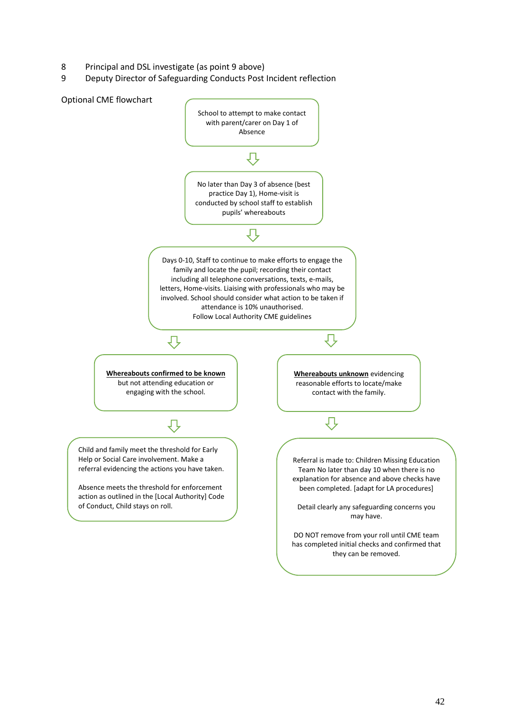- 8 Principal and DSL investigate (as point 9 above)<br>9 Deputy Director of Safeguarding Conducts Post
- 9 Deputy Director of Safeguarding Conducts Post Incident reflection

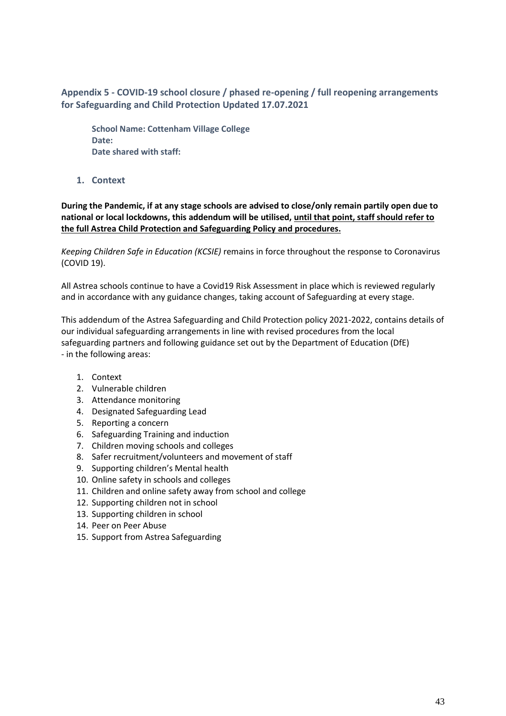# **Appendix 5 - COVID-19 school closure / phased re-opening / full reopening arrangements for Safeguarding and Child Protection Updated 17.07.2021**

**School Name: Cottenham Village College Date: Date shared with staff:**

**1. Context** 

**During the Pandemic, if at any stage schools are advised to close/only remain partily open due to national or local lockdowns, this addendum will be utilised, until that point, staff should refer to the full Astrea Child Protection and Safeguarding Policy and procedures.**

*Keeping Children Safe in Education (KCSIE)* remains in force throughout the response to Coronavirus (COVID 19).

All Astrea schools continue to have a Covid19 Risk Assessment in place which is reviewed regularly and in accordance with any guidance changes, taking account of Safeguarding at every stage.

This addendum of the Astrea Safeguarding and Child Protection policy 2021-2022, contains details of our individual safeguarding arrangements in line with revised procedures from the local safeguarding partners and following guidance set out by the Department of Education (DfE) - in the following areas:

- 1. Context
- 2. Vulnerable children
- 3. Attendance monitoring
- 4. Designated Safeguarding Lead
- 5. Reporting a concern
- 6. Safeguarding Training and induction
- 7. Children moving schools and colleges
- 8. Safer recruitment/volunteers and movement of staff
- 9. Supporting children's Mental health
- 10. Online safety in schools and colleges
- 11. Children and online safety away from school and college
- 12. Supporting children not in school
- 13. Supporting children in school
- 14. Peer on Peer Abuse
- 15. Support from Astrea Safeguarding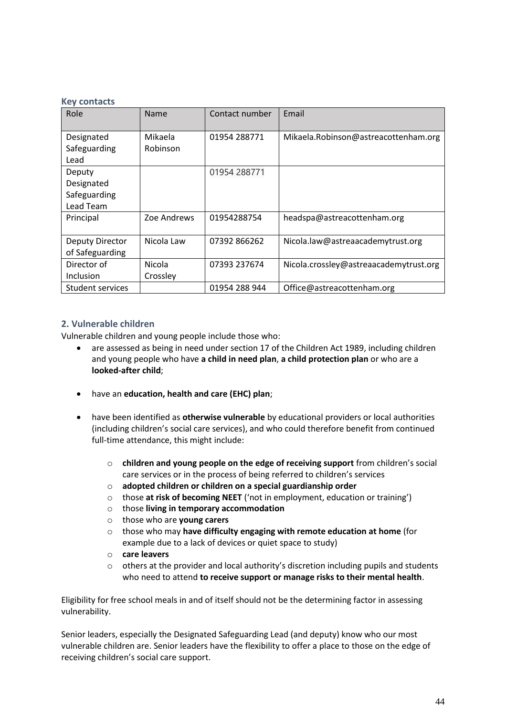# **Key contacts**

| Role                   | Name        | Contact number | Email                                  |
|------------------------|-------------|----------------|----------------------------------------|
| Designated             | Mikaela     | 01954 288771   | Mikaela.Robinson@astreacottenham.org   |
| Safeguarding           | Robinson    |                |                                        |
| Lead                   |             |                |                                        |
| Deputy                 |             | 01954 288771   |                                        |
| Designated             |             |                |                                        |
| Safeguarding           |             |                |                                        |
| Lead Team              |             |                |                                        |
| Principal              | Zoe Andrews | 01954288754    | headspa@astreacottenham.org            |
|                        |             |                |                                        |
| <b>Deputy Director</b> | Nicola Law  | 07392 866262   | Nicola.law@astreaacademytrust.org      |
| of Safeguarding        |             |                |                                        |
| Director of            | Nicola      | 07393 237674   | Nicola.crossley@astreaacademytrust.org |
| Inclusion              | Crossley    |                |                                        |
| Student services       |             | 01954 288 944  | Office@astreacottenham.org             |

# **2. Vulnerable children**

Vulnerable children and young people include those who:

- are assessed as being in need under section 17 of the Children Act 1989, including children and young people who have **a child in need plan**, **a child protection plan** or who are a **looked-after child**;
- have an **education, health and care (EHC) plan**;
- have been identified as **otherwise vulnerable** by educational providers or local authorities (including children's social care services), and who could therefore benefit from continued full-time attendance, this might include:
	- o **children and young people on the edge of receiving support** from children's social care services or in the process of being referred to children's services
	- o **adopted children or children on a special guardianship order**
	- o those **at risk of becoming NEET** ('not in employment, education or training')
	- o those **living in temporary accommodation**
	- o those who are **young carers**
	- o those who may **have difficulty engaging with remote education at home** (for example due to a lack of devices or quiet space to study)
	- o **care leavers**
	- $\circ$  others at the provider and local authority's discretion including pupils and students who need to attend **to receive support or manage risks to their mental health**.

Eligibility for free school meals in and of itself should not be the determining factor in assessing vulnerability.

Senior leaders, especially the Designated Safeguarding Lead (and deputy) know who our most vulnerable children are. Senior leaders have the flexibility to offer a place to those on the edge of receiving children's social care support.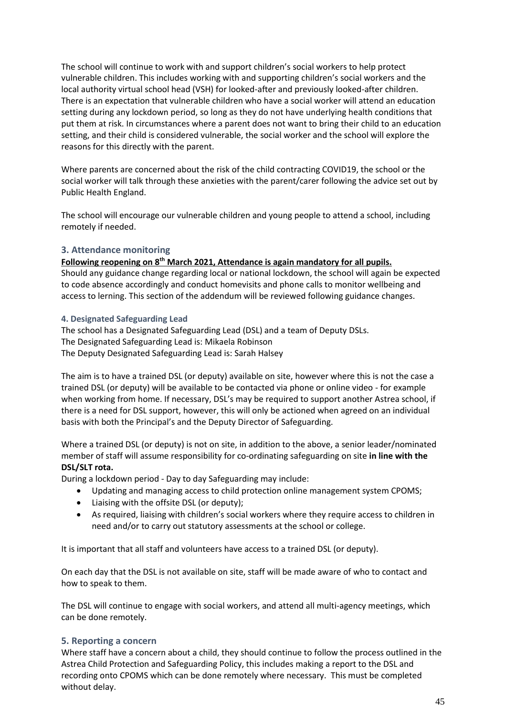The school will continue to work with and support children's social workers to help protect vulnerable children. This includes working with and supporting children's social workers and the local authority virtual school head (VSH) for looked-after and previously looked-after children. There is an expectation that vulnerable children who have a social worker will attend an education setting during any lockdown period, so long as they do not have underlying health conditions that put them at risk. In circumstances where a parent does not want to bring their child to an education setting, and their child is considered vulnerable, the social worker and the school will explore the reasons for this directly with the parent.

Where parents are concerned about the risk of the child contracting COVID19, the school or the social worker will talk through these anxieties with the parent/carer following the advice set out by Public Health England.

The school will encourage our vulnerable children and young people to attend a school, including remotely if needed.

# **3. Attendance monitoring**

### **Following reopening on 8th March 2021, Attendance is again mandatory for all pupils.**

Should any guidance change regarding local or national lockdown, the school will again be expected to code absence accordingly and conduct homevisits and phone calls to monitor wellbeing and access to lerning. This section of the addendum will be reviewed following guidance changes.

### **4. Designated Safeguarding Lead**

The school has a Designated Safeguarding Lead (DSL) and a team of Deputy DSLs. The Designated Safeguarding Lead is: Mikaela Robinson The Deputy Designated Safeguarding Lead is: Sarah Halsey

The aim is to have a trained DSL (or deputy) available on site, however where this is not the case a trained DSL (or deputy) will be available to be contacted via phone or online video - for example when working from home. If necessary, DSL's may be required to support another Astrea school, if there is a need for DSL support, however, this will only be actioned when agreed on an individual basis with both the Principal's and the Deputy Director of Safeguarding.

Where a trained DSL (or deputy) is not on site, in addition to the above, a senior leader/nominated member of staff will assume responsibility for co-ordinating safeguarding on site **in line with the DSL/SLT rota.**

During a lockdown period - Day to day Safeguarding may include:

- Updating and managing access to child protection online management system CPOMS;
- Liaising with the offsite DSL (or deputy);
- As required, liaising with children's social workers where they require access to children in need and/or to carry out statutory assessments at the school or college.

It is important that all staff and volunteers have access to a trained DSL (or deputy).

On each day that the DSL is not available on site, staff will be made aware of who to contact and how to speak to them.

The DSL will continue to engage with social workers, and attend all multi-agency meetings, which can be done remotely.

### **5. Reporting a concern**

Where staff have a concern about a child, they should continue to follow the process outlined in the Astrea Child Protection and Safeguarding Policy, this includes making a report to the DSL and recording onto CPOMS which can be done remotely where necessary. This must be completed without delay.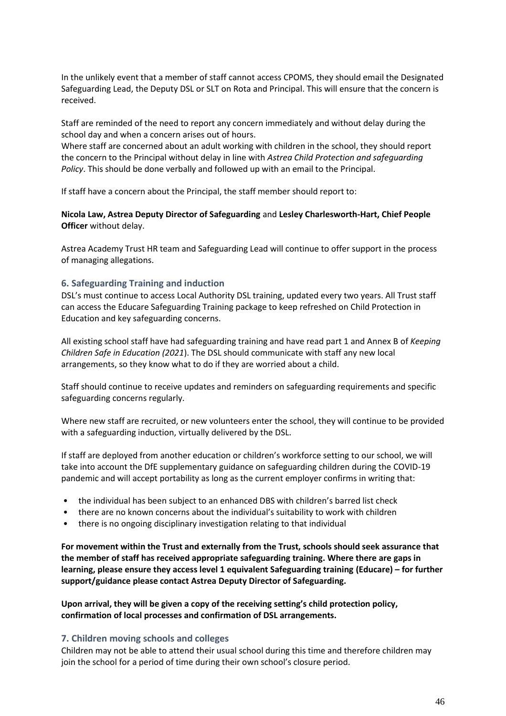In the unlikely event that a member of staff cannot access CPOMS, they should email the Designated Safeguarding Lead, the Deputy DSL or SLT on Rota and Principal. This will ensure that the concern is received.

Staff are reminded of the need to report any concern immediately and without delay during the school day and when a concern arises out of hours.

Where staff are concerned about an adult working with children in the school, they should report the concern to the Principal without delay in line with *Astrea Child Protection and safeguarding Policy*. This should be done verbally and followed up with an email to the Principal.

If staff have a concern about the Principal, the staff member should report to:

**Nicola Law, Astrea Deputy Director of Safeguarding** and **Lesley Charlesworth-Hart, Chief People Officer** without delay.

Astrea Academy Trust HR team and Safeguarding Lead will continue to offer support in the process of managing allegations.

# **6. Safeguarding Training and induction**

DSL's must continue to access Local Authority DSL training, updated every two years. All Trust staff can access the Educare Safeguarding Training package to keep refreshed on Child Protection in Education and key safeguarding concerns.

All existing school staff have had safeguarding training and have read part 1 and Annex B of *Keeping Children Safe in Education (2021*). The DSL should communicate with staff any new local arrangements, so they know what to do if they are worried about a child.

Staff should continue to receive updates and reminders on safeguarding requirements and specific safeguarding concerns regularly.

Where new staff are recruited, or new volunteers enter the school, they will continue to be provided with a safeguarding induction, virtually delivered by the DSL.

If staff are deployed from another education or children's workforce setting to our school, we will take into account the DfE supplementary guidance on safeguarding children during the COVID-19 pandemic and will accept portability as long as the current employer confirms in writing that:

- the individual has been subject to an enhanced DBS with children's barred list check
- there are no known concerns about the individual's suitability to work with children
- there is no ongoing disciplinary investigation relating to that individual

**For movement within the Trust and externally from the Trust, schools should seek assurance that the member of staff has received appropriate safeguarding training. Where there are gaps in learning, please ensure they access level 1 equivalent Safeguarding training (Educare) – for further support/guidance please contact Astrea Deputy Director of Safeguarding.** 

**Upon arrival, they will be given a copy of the receiving setting's child protection policy, confirmation of local processes and confirmation of DSL arrangements.** 

### **7. Children moving schools and colleges**

Children may not be able to attend their usual school during this time and therefore children may join the school for a period of time during their own school's closure period.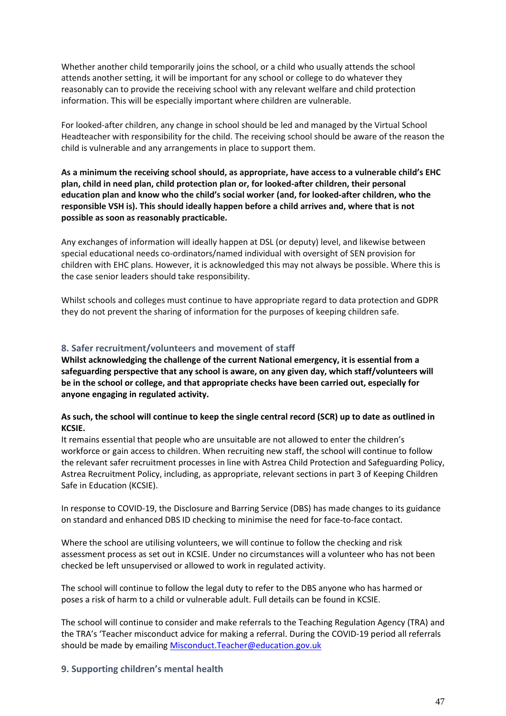Whether another child temporarily joins the school, or a child who usually attends the school attends another setting, it will be important for any school or college to do whatever they reasonably can to provide the receiving school with any relevant welfare and child protection information. This will be especially important where children are vulnerable.

For looked-after children, any change in school should be led and managed by the Virtual School Headteacher with responsibility for the child. The receiving school should be aware of the reason the child is vulnerable and any arrangements in place to support them.

**As a minimum the receiving school should, as appropriate, have access to a vulnerable child's EHC plan, child in need plan, child protection plan or, for looked-after children, their personal education plan and know who the child's social worker (and, for looked-after children, who the responsible VSH is). This should ideally happen before a child arrives and, where that is not possible as soon as reasonably practicable.** 

Any exchanges of information will ideally happen at DSL (or deputy) level, and likewise between special educational needs co-ordinators/named individual with oversight of SEN provision for children with EHC plans. However, it is acknowledged this may not always be possible. Where this is the case senior leaders should take responsibility.

Whilst schools and colleges must continue to have appropriate regard to data protection and GDPR they do not prevent the sharing of information for the purposes of keeping children safe.

# **8. Safer recruitment/volunteers and movement of staff**

**Whilst acknowledging the challenge of the current National emergency, it is essential from a safeguarding perspective that any school is aware, on any given day, which staff/volunteers will be in the school or college, and that appropriate checks have been carried out, especially for anyone engaging in regulated activity.** 

# **As such, the school will continue to keep the single central record (SCR) up to date as outlined in KCSIE.**

It remains essential that people who are unsuitable are not allowed to enter the children's workforce or gain access to children. When recruiting new staff, the school will continue to follow the relevant safer recruitment processes in line with Astrea Child Protection and Safeguarding Policy, Astrea Recruitment Policy, including, as appropriate, relevant sections in part 3 of Keeping Children Safe in Education (KCSIE).

In response to COVID-19, the Disclosure and Barring Service (DBS) has made changes to its guidance on standard and enhanced DBS ID checking to minimise the need for face-to-face contact.

Where the school are utilising volunteers, we will continue to follow the checking and risk assessment process as set out in KCSIE. Under no circumstances will a volunteer who has not been checked be left unsupervised or allowed to work in regulated activity.

The school will continue to follow the legal duty to refer to the DBS anyone who has harmed or poses a risk of harm to a child or vulnerable adult. Full details can be found in KCSIE.

The school will continue to consider and make referrals to the Teaching Regulation Agency (TRA) and the TRA's 'Teacher misconduct advice for making a referral. During the COVID-19 period all referrals should be made by emailing Misconduct.Teacher@education.gov.uk

# **9. Supporting children's mental health**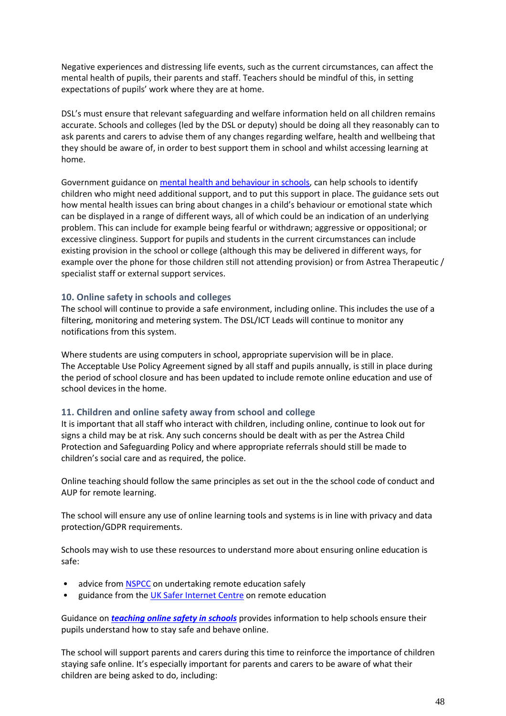Negative experiences and distressing life events, such as the current circumstances, can affect the mental health of pupils, their parents and staff. Teachers should be mindful of this, in setting expectations of pupils' work where they are at home.

DSL's must ensure that relevant safeguarding and welfare information held on all children remains accurate. Schools and colleges (led by the DSL or deputy) should be doing all they reasonably can to ask parents and carers to advise them of any changes regarding welfare, health and wellbeing that they should be aware of, in order to best support them in school and whilst accessing learning at home.

Government guidance on [mental health and behaviour in schools,](https://assets.publishing.service.gov.uk/government/uploads/system/uploads/attachment_data/file/755135/Mental_health_and_behaviour_in_schools__.pdf) can help schools to identify children who might need additional support, and to put this support in place. The guidance sets out how mental health issues can bring about changes in a child's behaviour or emotional state which can be displayed in a range of different ways, all of which could be an indication of an underlying problem. This can include for example being fearful or withdrawn; aggressive or oppositional; or excessive clinginess. Support for pupils and students in the current circumstances can include existing provision in the school or college (although this may be delivered in different ways, for example over the phone for those children still not attending provision) or from Astrea Therapeutic / specialist staff or external support services.

# **10. Online safety in schools and colleges**

The school will continue to provide a safe environment, including online. This includes the use of a filtering, monitoring and metering system. The DSL/ICT Leads will continue to monitor any notifications from this system.

Where students are using computers in school, appropriate supervision will be in place. The Acceptable Use Policy Agreement signed by all staff and pupils annually, is still in place during the period of school closure and has been updated to include remote online education and use of school devices in the home.

### **11. Children and online safety away from school and college**

It is important that all staff who interact with children, including online, continue to look out for signs a child may be at risk. Any such concerns should be dealt with as per the Astrea Child Protection and Safeguarding Policy and where appropriate referrals should still be made to children's social care and as required, the police.

Online teaching should follow the same principles as set out in the the school code of conduct and AUP for remote learning.

The school will ensure any use of online learning tools and systems is in line with privacy and data protection/GDPR requirements.

Schools may wish to use these resources to understand more about ensuring online education is safe:

- advice fro[m NSPCC](https://learning.nspcc.org.uk/news/2020/march/undertaking-remote-teaching-safely) on undertaking remote education safely
- guidance from the [UK Safer Internet Centre](https://swgfl.org.uk/resources/safe-remote-learning/) on remote education

Guidance on *[teaching online safety in schools](https://assets.publishing.service.gov.uk/government/uploads/system/uploads/attachment_data/file/811796/Teaching_online_safety_in_school.pdf)* provides information to help schools ensure their pupils understand how to stay safe and behave online.

The school will support parents and carers during this time to reinforce the importance of children staying safe online. It's especially important for parents and carers to be aware of what their children are being asked to do, including: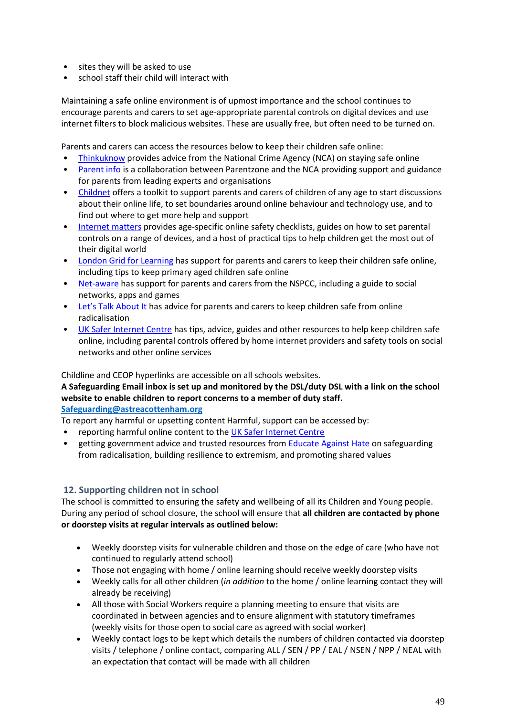- sites they will be asked to use
- school staff their child will interact with

Maintaining a safe online environment is of upmost importance and the school continues to encourage parents and carers to set age-appropriate parental controls on digital devices and use internet filters to block malicious websites. These are usually free, but often need to be turned on.

Parents and carers can access the resources below to keep their children safe online:

- [Thinkuknow](https://www.thinkuknow.co.uk/) provides advice from the National Crime Agency (NCA) on staying safe online
- [Parent info](https://parentinfo.org/) is a collaboration between Parentzone and the NCA providing support and guidance for parents from leading experts and organisations
- [Childnet](https://www.childnet.com/parents-and-carers/parent-and-carer-toolkit) offers a toolkit to support parents and carers of children of any age to start discussions about their online life, to set boundaries around online behaviour and technology use, and to find out where to get more help and support
- [Internet matters](https://www.internetmatters.org/?gclid=EAIaIQobChMIktuA5LWK2wIVRYXVCh2afg2aEAAYASAAEgIJ5vD_BwE) provides age-specific online safety checklists, guides on how to set parental controls on a range of devices, and a host of practical tips to help children get the most out of their digital world
- [London Grid for Learning](https://www.lgfl.net/online-safety/default.aspx) has support for parents and carers to keep their children safe online, including tips to keep primary aged children safe online
- [Net-aware](https://www.net-aware.org.uk/) has support for parents and carers from the NSPCC, including a guide to social networks, apps and games
- [Let's Talk About It](https://www.ltai.info/staying-safe-online/) has advice for parents and carers to keep children safe from online radicalisation
- [UK Safer Internet Centre](https://www.saferinternet.org.uk/advice-centre/parents-and-carers) has tips, advice, guides and other resources to help keep children safe online, including parental controls offered by home internet providers and safety tools on social networks and other online services

# Childline and CEOP hyperlinks are accessible on all schools websites.

# **A Safeguarding Email inbox is set up and monitored by the DSL/duty DSL with a link on the school website to enable children to report concerns to a member of duty staff. [Safeguarding@astreacottenham.org](mailto:Safeguarding@astreacottenham.org)**

To report any harmful or upsetting content Harmful, support can be accessed by:

- reporting harmful online content to th[e UK Safer Internet Centre](https://reportharmfulcontent.com/)
- getting government advice and trusted resources from [Educate Against Hate](https://educateagainsthate.com/) on safeguarding from radicalisation, building resilience to extremism, and promoting shared values

# **12. Supporting children not in school**

The school is committed to ensuring the safety and wellbeing of all its Children and Young people. During any period of school closure, the school will ensure that **all children are contacted by phone or doorstep visits at regular intervals as outlined below:**

- Weekly doorstep visits for vulnerable children and those on the edge of care (who have not continued to regularly attend school)
- Those not engaging with home / online learning should receive weekly doorstep visits
- Weekly calls for all other children (*in addition* to the home / online learning contact they will already be receiving)
- All those with Social Workers require a planning meeting to ensure that visits are coordinated in between agencies and to ensure alignment with statutory timeframes (weekly visits for those open to social care as agreed with social worker)
- Weekly contact logs to be kept which details the numbers of children contacted via doorstep visits / telephone / online contact, comparing ALL / SEN / PP / EAL / NSEN / NPP / NEAL with an expectation that contact will be made with all children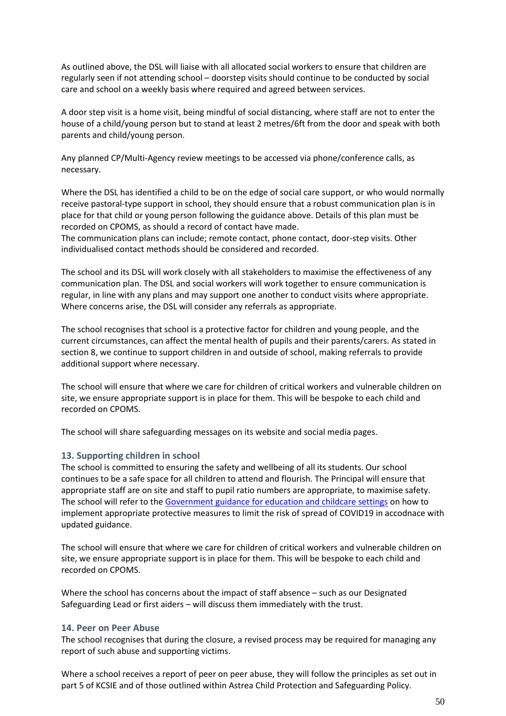As outlined above, the DSL will liaise with all allocated social workers to ensure that children are regularly seen if not attending school – doorstep visits should continue to be conducted by social care and school on a weekly basis where required and agreed between services.

A door step visit is a home visit, being mindful of social distancing, where staff are not to enter the house of a child/young person but to stand at least 2 metres/6ft from the door and speak with both parents and child/young person.

Any planned CP/Multi-Agency review meetings to be accessed via phone/conference calls, as necessary.

Where the DSL has identified a child to be on the edge of social care support, or who would normally receive pastoral-type support in school, they should ensure that a robust communication plan is in place for that child or young person following the guidance above. Details of this plan must be recorded on CPOMS, as should a record of contact have made.

The communication plans can include; remote contact, phone contact, door-step visits. Other individualised contact methods should be considered and recorded.

The school and its DSL will work closely with all stakeholders to maximise the effectiveness of any communication plan. The DSL and social workers will work together to ensure communication is regular, in line with any plans and may support one another to conduct visits where appropriate. Where concerns arise, the DSL will consider any referrals as appropriate.

The school recognises that school is a protective factor for children and young people, and the current circumstances, can affect the mental health of pupils and their parents/carers. As stated in section 8, we continue to support children in and outside of school, making referrals to provide additional support where necessary.

The school will ensure that where we care for children of critical workers and vulnerable children on site, we ensure appropriate support is in place for them. This will be bespoke to each child and recorded on CPOMS.

The school will share safeguarding messages on its website and social media pages.

### **13. Supporting children in school**

The school is committed to ensuring the safety and wellbeing of all its students. Our school continues to be a safe space for all children to attend and flourish. The Principal will ensure that appropriate staff are on site and staff to pupil ratio numbers are appropriate, to maximise safety. The school will refer to the [Government guidance for education and childcare settings](https://www.gov.uk/government/collections/coronavirus-covid-19-guidance-for-schools-and-other-educational-settings) on how to implement appropriate protective measures to limit the risk of spread of COVID19 in accodnace with updated guidance.

The school will ensure that where we care for children of critical workers and vulnerable children on site, we ensure appropriate support is in place for them. This will be bespoke to each child and recorded on CPOMS.

Where the school has concerns about the impact of staff absence – such as our Designated Safeguarding Lead or first aiders – will discuss them immediately with the trust.

### **14. Peer on Peer Abuse**

The school recognises that during the closure, a revised process may be required for managing any report of such abuse and supporting victims.

Where a school receives a report of peer on peer abuse, they will follow the principles as set out in part 5 of KCSIE and of those outlined within Astrea Child Protection and Safeguarding Policy.